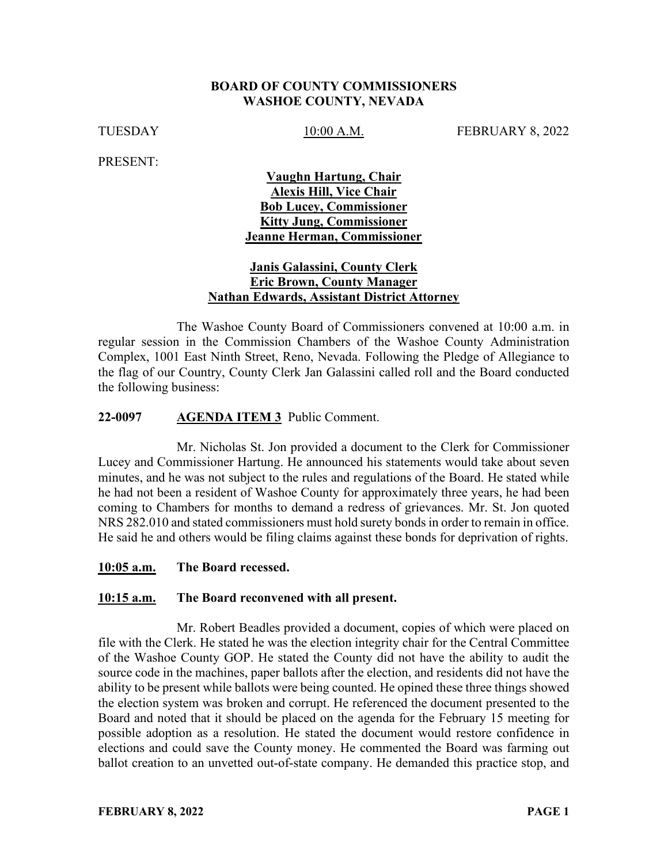#### **BOARD OF COUNTY COMMISSIONERS WASHOE COUNTY, NEVADA**

TUESDAY 10:00 A.M. FEBRUARY 8, 2022

PRESENT:

### **Vaughn Hartung, Chair Alexis Hill, Vice Chair Bob Lucey, Commissioner Kitty Jung, Commissioner Jeanne Herman, Commissioner**

### **Janis Galassini, County Clerk Eric Brown, County Manager Nathan Edwards, Assistant District Attorney**

The Washoe County Board of Commissioners convened at 10:00 a.m. in regular session in the Commission Chambers of the Washoe County Administration Complex, 1001 East Ninth Street, Reno, Nevada. Following the Pledge of Allegiance to the flag of our Country, County Clerk Jan Galassini called roll and the Board conducted the following business:

#### **22-0097 AGENDA ITEM 3** Public Comment.

Mr. Nicholas St. Jon provided a document to the Clerk for Commissioner Lucey and Commissioner Hartung. He announced his statements would take about seven minutes, and he was not subject to the rules and regulations of the Board. He stated while he had not been a resident of Washoe County for approximately three years, he had been coming to Chambers for months to demand a redress of grievances. Mr. St. Jon quoted NRS 282.010 and stated commissioners must hold surety bonds in order to remain in office. He said he and others would be filing claims against these bonds for deprivation of rights.

#### **10:05 a.m. The Board recessed.**

#### **10:15 a.m. The Board reconvened with all present.**

Mr. Robert Beadles provided a document, copies of which were placed on file with the Clerk. He stated he was the election integrity chair for the Central Committee of the Washoe County GOP. He stated the County did not have the ability to audit the source code in the machines, paper ballots after the election, and residents did not have the ability to be present while ballots were being counted. He opined these three things showed the election system was broken and corrupt. He referenced the document presented to the Board and noted that it should be placed on the agenda for the February 15 meeting for possible adoption as a resolution. He stated the document would restore confidence in elections and could save the County money. He commented the Board was farming out ballot creation to an unvetted out-of-state company. He demanded this practice stop, and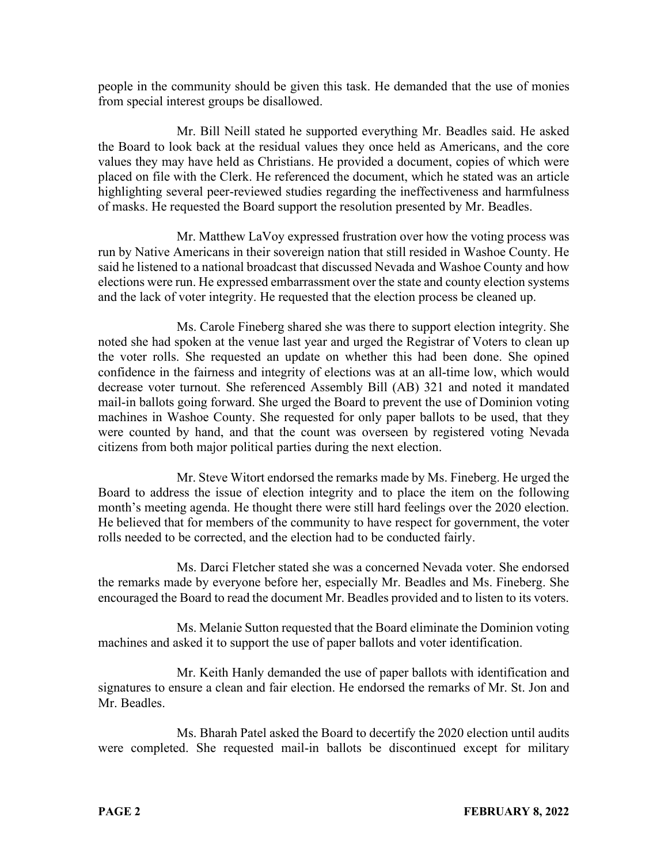people in the community should be given this task. He demanded that the use of monies from special interest groups be disallowed.

Mr. Bill Neill stated he supported everything Mr. Beadles said. He asked the Board to look back at the residual values they once held as Americans, and the core values they may have held as Christians. He provided a document, copies of which were placed on file with the Clerk. He referenced the document, which he stated was an article highlighting several peer-reviewed studies regarding the ineffectiveness and harmfulness of masks. He requested the Board support the resolution presented by Mr. Beadles.

Mr. Matthew LaVoy expressed frustration over how the voting process was run by Native Americans in their sovereign nation that still resided in Washoe County. He said he listened to a national broadcast that discussed Nevada and Washoe County and how elections were run. He expressed embarrassment over the state and county election systems and the lack of voter integrity. He requested that the election process be cleaned up.

Ms. Carole Fineberg shared she was there to support election integrity. She noted she had spoken at the venue last year and urged the Registrar of Voters to clean up the voter rolls. She requested an update on whether this had been done. She opined confidence in the fairness and integrity of elections was at an all-time low, which would decrease voter turnout. She referenced Assembly Bill (AB) 321 and noted it mandated mail-in ballots going forward. She urged the Board to prevent the use of Dominion voting machines in Washoe County. She requested for only paper ballots to be used, that they were counted by hand, and that the count was overseen by registered voting Nevada citizens from both major political parties during the next election.

Mr. Steve Witort endorsed the remarks made by Ms. Fineberg. He urged the Board to address the issue of election integrity and to place the item on the following month's meeting agenda. He thought there were still hard feelings over the 2020 election. He believed that for members of the community to have respect for government, the voter rolls needed to be corrected, and the election had to be conducted fairly.

Ms. Darci Fletcher stated she was a concerned Nevada voter. She endorsed the remarks made by everyone before her, especially Mr. Beadles and Ms. Fineberg. She encouraged the Board to read the document Mr. Beadles provided and to listen to its voters.

Ms. Melanie Sutton requested that the Board eliminate the Dominion voting machines and asked it to support the use of paper ballots and voter identification.

Mr. Keith Hanly demanded the use of paper ballots with identification and signatures to ensure a clean and fair election. He endorsed the remarks of Mr. St. Jon and Mr. Beadles.

Ms. Bharah Patel asked the Board to decertify the 2020 election until audits were completed. She requested mail-in ballots be discontinued except for military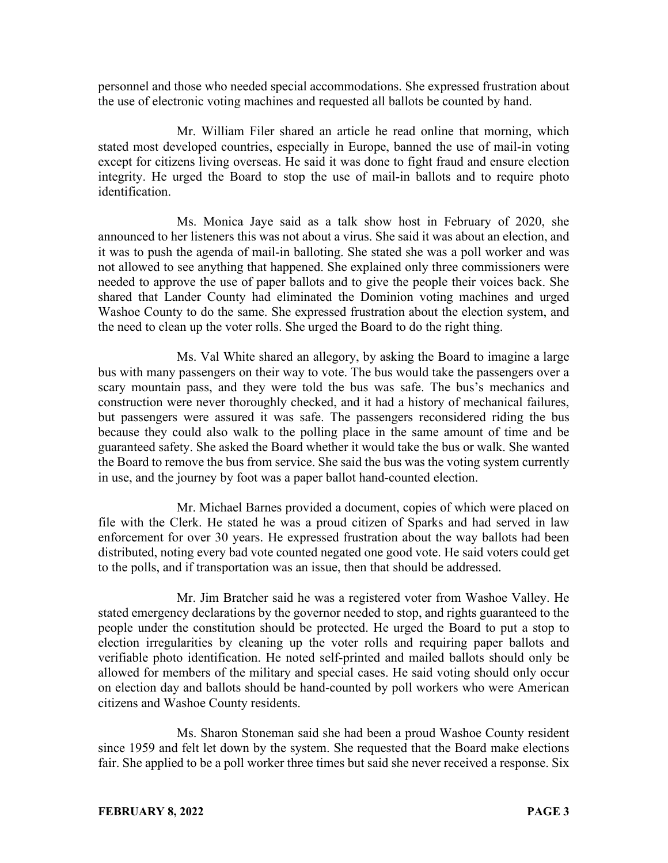personnel and those who needed special accommodations. She expressed frustration about the use of electronic voting machines and requested all ballots be counted by hand.

Mr. William Filer shared an article he read online that morning, which stated most developed countries, especially in Europe, banned the use of mail-in voting except for citizens living overseas. He said it was done to fight fraud and ensure election integrity. He urged the Board to stop the use of mail-in ballots and to require photo identification.

Ms. Monica Jaye said as a talk show host in February of 2020, she announced to her listeners this was not about a virus. She said it was about an election, and it was to push the agenda of mail-in balloting. She stated she was a poll worker and was not allowed to see anything that happened. She explained only three commissioners were needed to approve the use of paper ballots and to give the people their voices back. She shared that Lander County had eliminated the Dominion voting machines and urged Washoe County to do the same. She expressed frustration about the election system, and the need to clean up the voter rolls. She urged the Board to do the right thing.

Ms. Val White shared an allegory, by asking the Board to imagine a large bus with many passengers on their way to vote. The bus would take the passengers over a scary mountain pass, and they were told the bus was safe. The bus's mechanics and construction were never thoroughly checked, and it had a history of mechanical failures, but passengers were assured it was safe. The passengers reconsidered riding the bus because they could also walk to the polling place in the same amount of time and be guaranteed safety. She asked the Board whether it would take the bus or walk. She wanted the Board to remove the bus from service. She said the bus was the voting system currently in use, and the journey by foot was a paper ballot hand-counted election.

Mr. Michael Barnes provided a document, copies of which were placed on file with the Clerk. He stated he was a proud citizen of Sparks and had served in law enforcement for over 30 years. He expressed frustration about the way ballots had been distributed, noting every bad vote counted negated one good vote. He said voters could get to the polls, and if transportation was an issue, then that should be addressed.

Mr. Jim Bratcher said he was a registered voter from Washoe Valley. He stated emergency declarations by the governor needed to stop, and rights guaranteed to the people under the constitution should be protected. He urged the Board to put a stop to election irregularities by cleaning up the voter rolls and requiring paper ballots and verifiable photo identification. He noted self-printed and mailed ballots should only be allowed for members of the military and special cases. He said voting should only occur on election day and ballots should be hand-counted by poll workers who were American citizens and Washoe County residents.

Ms. Sharon Stoneman said she had been a proud Washoe County resident since 1959 and felt let down by the system. She requested that the Board make elections fair. She applied to be a poll worker three times but said she never received a response. Six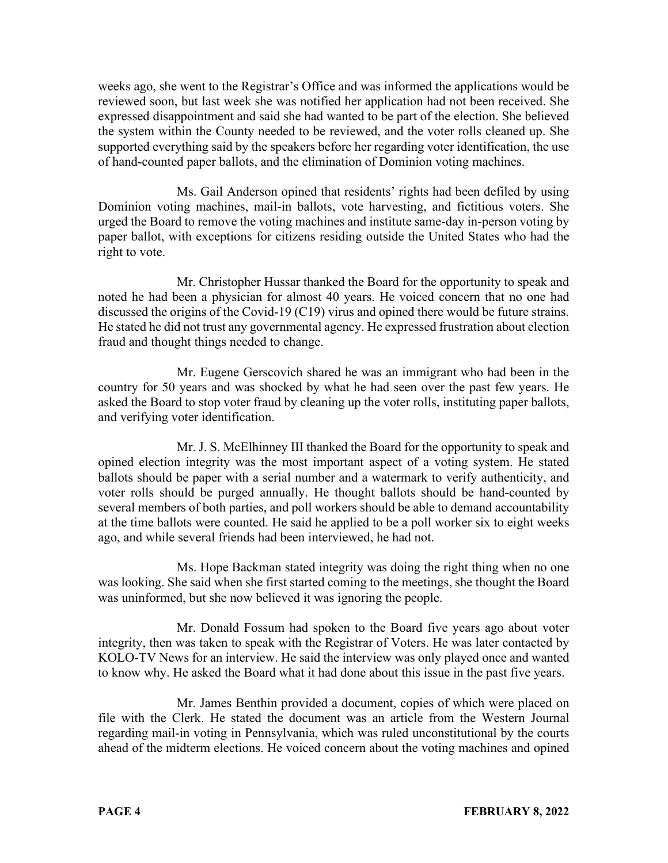weeks ago, she went to the Registrar's Office and was informed the applications would be reviewed soon, but last week she was notified her application had not been received. She expressed disappointment and said she had wanted to be part of the election. She believed the system within the County needed to be reviewed, and the voter rolls cleaned up. She supported everything said by the speakers before her regarding voter identification, the use of hand-counted paper ballots, and the elimination of Dominion voting machines.

Ms. Gail Anderson opined that residents' rights had been defiled by using Dominion voting machines, mail-in ballots, vote harvesting, and fictitious voters. She urged the Board to remove the voting machines and institute same-day in-person voting by paper ballot, with exceptions for citizens residing outside the United States who had the right to vote.

Mr. Christopher Hussar thanked the Board for the opportunity to speak and noted he had been a physician for almost 40 years. He voiced concern that no one had discussed the origins of the Covid-19 (C19) virus and opined there would be future strains. He stated he did not trust any governmental agency. He expressed frustration about election fraud and thought things needed to change.

Mr. Eugene Gerscovich shared he was an immigrant who had been in the country for 50 years and was shocked by what he had seen over the past few years. He asked the Board to stop voter fraud by cleaning up the voter rolls, instituting paper ballots, and verifying voter identification.

Mr. J. S. McElhinney III thanked the Board for the opportunity to speak and opined election integrity was the most important aspect of a voting system. He stated ballots should be paper with a serial number and a watermark to verify authenticity, and voter rolls should be purged annually. He thought ballots should be hand-counted by several members of both parties, and poll workers should be able to demand accountability at the time ballots were counted. He said he applied to be a poll worker six to eight weeks ago, and while several friends had been interviewed, he had not.

Ms. Hope Backman stated integrity was doing the right thing when no one was looking. She said when she first started coming to the meetings, she thought the Board was uninformed, but she now believed it was ignoring the people.

Mr. Donald Fossum had spoken to the Board five years ago about voter integrity, then was taken to speak with the Registrar of Voters. He was later contacted by KOLO-TV News for an interview. He said the interview was only played once and wanted to know why. He asked the Board what it had done about this issue in the past five years.

Mr. James Benthin provided a document, copies of which were placed on file with the Clerk. He stated the document was an article from the Western Journal regarding mail-in voting in Pennsylvania, which was ruled unconstitutional by the courts ahead of the midterm elections. He voiced concern about the voting machines and opined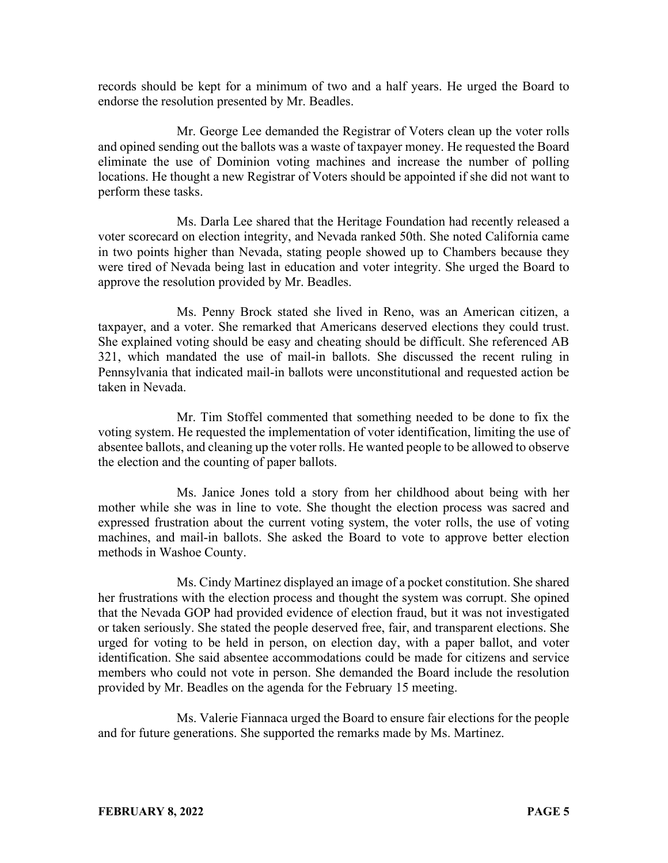records should be kept for a minimum of two and a half years. He urged the Board to endorse the resolution presented by Mr. Beadles.

Mr. George Lee demanded the Registrar of Voters clean up the voter rolls and opined sending out the ballots was a waste of taxpayer money. He requested the Board eliminate the use of Dominion voting machines and increase the number of polling locations. He thought a new Registrar of Voters should be appointed if she did not want to perform these tasks.

Ms. Darla Lee shared that the Heritage Foundation had recently released a voter scorecard on election integrity, and Nevada ranked 50th. She noted California came in two points higher than Nevada, stating people showed up to Chambers because they were tired of Nevada being last in education and voter integrity. She urged the Board to approve the resolution provided by Mr. Beadles.

Ms. Penny Brock stated she lived in Reno, was an American citizen, a taxpayer, and a voter. She remarked that Americans deserved elections they could trust. She explained voting should be easy and cheating should be difficult. She referenced AB 321, which mandated the use of mail-in ballots. She discussed the recent ruling in Pennsylvania that indicated mail-in ballots were unconstitutional and requested action be taken in Nevada.

Mr. Tim Stoffel commented that something needed to be done to fix the voting system. He requested the implementation of voter identification, limiting the use of absentee ballots, and cleaning up the voter rolls. He wanted people to be allowed to observe the election and the counting of paper ballots.

Ms. Janice Jones told a story from her childhood about being with her mother while she was in line to vote. She thought the election process was sacred and expressed frustration about the current voting system, the voter rolls, the use of voting machines, and mail-in ballots. She asked the Board to vote to approve better election methods in Washoe County.

Ms. Cindy Martinez displayed an image of a pocket constitution. She shared her frustrations with the election process and thought the system was corrupt. She opined that the Nevada GOP had provided evidence of election fraud, but it was not investigated or taken seriously. She stated the people deserved free, fair, and transparent elections. She urged for voting to be held in person, on election day, with a paper ballot, and voter identification. She said absentee accommodations could be made for citizens and service members who could not vote in person. She demanded the Board include the resolution provided by Mr. Beadles on the agenda for the February 15 meeting.

Ms. Valerie Fiannaca urged the Board to ensure fair elections for the people and for future generations. She supported the remarks made by Ms. Martinez.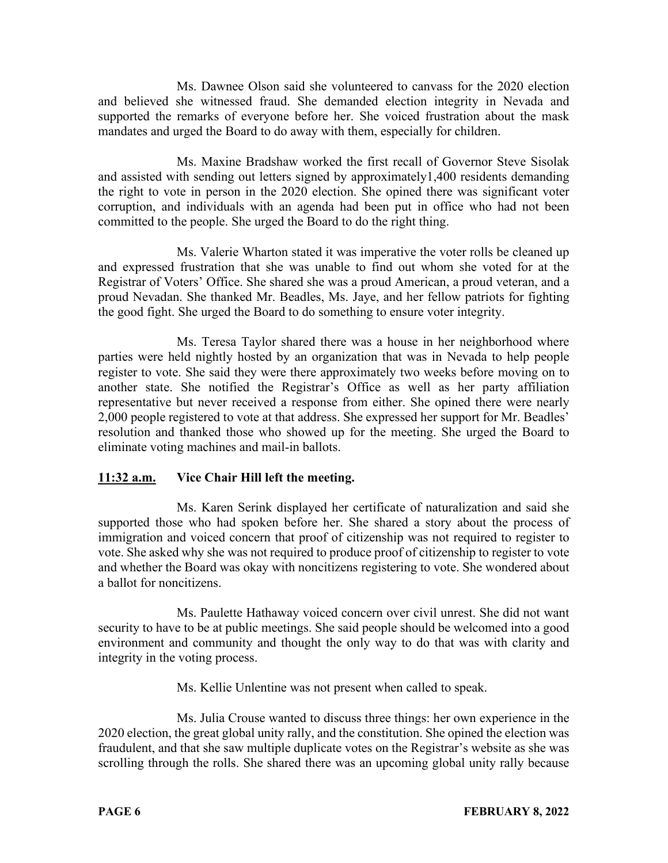Ms. Dawnee Olson said she volunteered to canvass for the 2020 election and believed she witnessed fraud. She demanded election integrity in Nevada and supported the remarks of everyone before her. She voiced frustration about the mask mandates and urged the Board to do away with them, especially for children.

Ms. Maxine Bradshaw worked the first recall of Governor Steve Sisolak and assisted with sending out letters signed by approximately1,400 residents demanding the right to vote in person in the 2020 election. She opined there was significant voter corruption, and individuals with an agenda had been put in office who had not been committed to the people. She urged the Board to do the right thing.

Ms. Valerie Wharton stated it was imperative the voter rolls be cleaned up and expressed frustration that she was unable to find out whom she voted for at the Registrar of Voters' Office. She shared she was a proud American, a proud veteran, and a proud Nevadan. She thanked Mr. Beadles, Ms. Jaye, and her fellow patriots for fighting the good fight. She urged the Board to do something to ensure voter integrity.

Ms. Teresa Taylor shared there was a house in her neighborhood where parties were held nightly hosted by an organization that was in Nevada to help people register to vote. She said they were there approximately two weeks before moving on to another state. She notified the Registrar's Office as well as her party affiliation representative but never received a response from either. She opined there were nearly 2,000 people registered to vote at that address. She expressed her support for Mr. Beadles' resolution and thanked those who showed up for the meeting. She urged the Board to eliminate voting machines and mail-in ballots.

# **11:32 a.m. Vice Chair Hill left the meeting.**

Ms. Karen Serink displayed her certificate of naturalization and said she supported those who had spoken before her. She shared a story about the process of immigration and voiced concern that proof of citizenship was not required to register to vote. She asked why she was not required to produce proof of citizenship to register to vote and whether the Board was okay with noncitizens registering to vote. She wondered about a ballot for noncitizens.

Ms. Paulette Hathaway voiced concern over civil unrest. She did not want security to have to be at public meetings. She said people should be welcomed into a good environment and community and thought the only way to do that was with clarity and integrity in the voting process.

Ms. Kellie Unlentine was not present when called to speak.

Ms. Julia Crouse wanted to discuss three things: her own experience in the 2020 election, the great global unity rally, and the constitution. She opined the election was fraudulent, and that she saw multiple duplicate votes on the Registrar's website as she was scrolling through the rolls. She shared there was an upcoming global unity rally because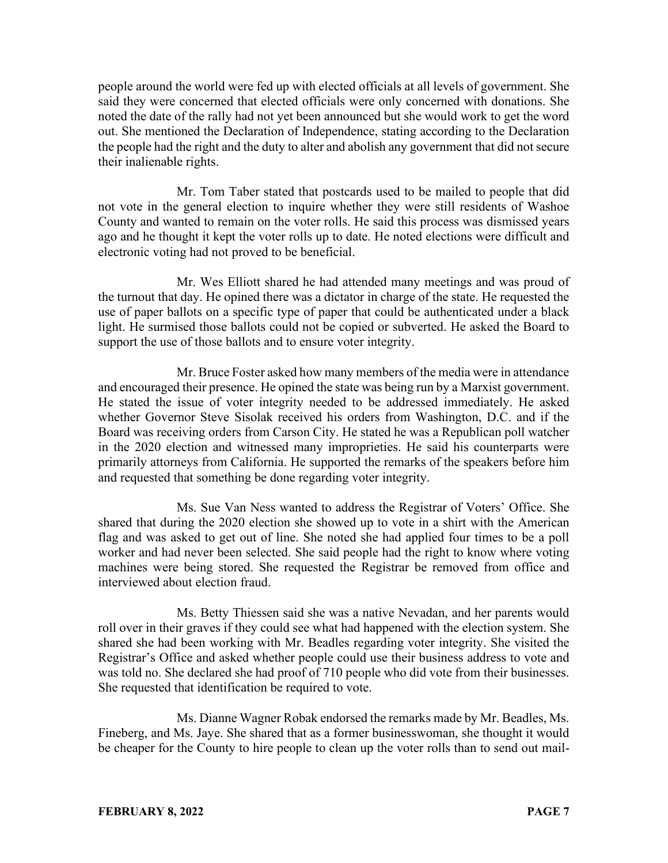people around the world were fed up with elected officials at all levels of government. She said they were concerned that elected officials were only concerned with donations. She noted the date of the rally had not yet been announced but she would work to get the word out. She mentioned the Declaration of Independence, stating according to the Declaration the people had the right and the duty to alter and abolish any government that did not secure their inalienable rights.

Mr. Tom Taber stated that postcards used to be mailed to people that did not vote in the general election to inquire whether they were still residents of Washoe County and wanted to remain on the voter rolls. He said this process was dismissed years ago and he thought it kept the voter rolls up to date. He noted elections were difficult and electronic voting had not proved to be beneficial.

Mr. Wes Elliott shared he had attended many meetings and was proud of the turnout that day. He opined there was a dictator in charge of the state. He requested the use of paper ballots on a specific type of paper that could be authenticated under a black light. He surmised those ballots could not be copied or subverted. He asked the Board to support the use of those ballots and to ensure voter integrity.

Mr. Bruce Foster asked how many members of the media were in attendance and encouraged their presence. He opined the state was being run by a Marxist government. He stated the issue of voter integrity needed to be addressed immediately. He asked whether Governor Steve Sisolak received his orders from Washington, D.C. and if the Board was receiving orders from Carson City. He stated he was a Republican poll watcher in the 2020 election and witnessed many improprieties. He said his counterparts were primarily attorneys from California. He supported the remarks of the speakers before him and requested that something be done regarding voter integrity.

Ms. Sue Van Ness wanted to address the Registrar of Voters' Office. She shared that during the 2020 election she showed up to vote in a shirt with the American flag and was asked to get out of line. She noted she had applied four times to be a poll worker and had never been selected. She said people had the right to know where voting machines were being stored. She requested the Registrar be removed from office and interviewed about election fraud.

Ms. Betty Thiessen said she was a native Nevadan, and her parents would roll over in their graves if they could see what had happened with the election system. She shared she had been working with Mr. Beadles regarding voter integrity. She visited the Registrar's Office and asked whether people could use their business address to vote and was told no. She declared she had proof of 710 people who did vote from their businesses. She requested that identification be required to vote.

Ms. Dianne Wagner Robak endorsed the remarks made by Mr. Beadles, Ms. Fineberg, and Ms. Jaye. She shared that as a former businesswoman, she thought it would be cheaper for the County to hire people to clean up the voter rolls than to send out mail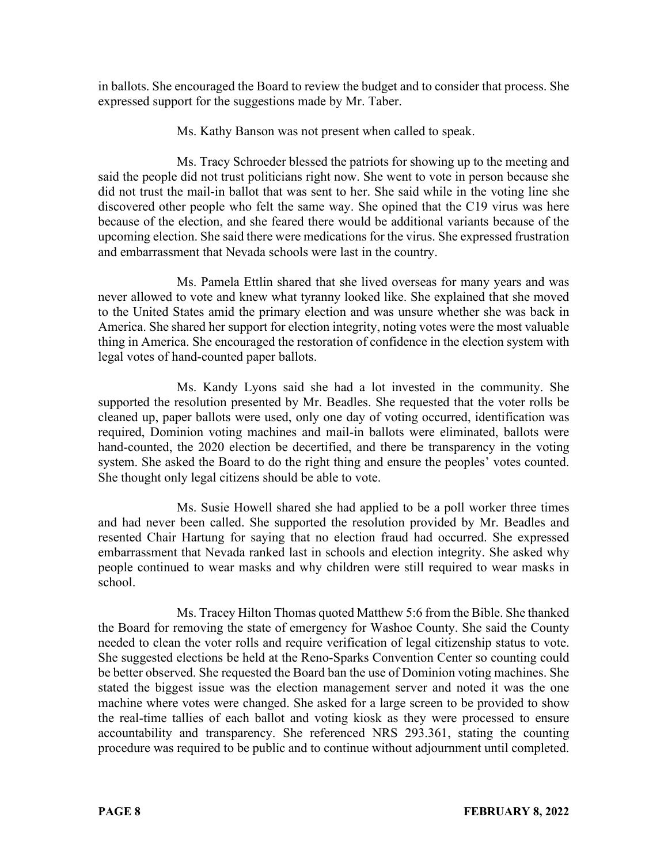in ballots. She encouraged the Board to review the budget and to consider that process. She expressed support for the suggestions made by Mr. Taber.

Ms. Kathy Banson was not present when called to speak.

Ms. Tracy Schroeder blessed the patriots for showing up to the meeting and said the people did not trust politicians right now. She went to vote in person because she did not trust the mail-in ballot that was sent to her. She said while in the voting line she discovered other people who felt the same way. She opined that the C19 virus was here because of the election, and she feared there would be additional variants because of the upcoming election. She said there were medications for the virus. She expressed frustration and embarrassment that Nevada schools were last in the country.

Ms. Pamela Ettlin shared that she lived overseas for many years and was never allowed to vote and knew what tyranny looked like. She explained that she moved to the United States amid the primary election and was unsure whether she was back in America. She shared her support for election integrity, noting votes were the most valuable thing in America. She encouraged the restoration of confidence in the election system with legal votes of hand-counted paper ballots.

Ms. Kandy Lyons said she had a lot invested in the community. She supported the resolution presented by Mr. Beadles. She requested that the voter rolls be cleaned up, paper ballots were used, only one day of voting occurred, identification was required, Dominion voting machines and mail-in ballots were eliminated, ballots were hand-counted, the 2020 election be decertified, and there be transparency in the voting system. She asked the Board to do the right thing and ensure the peoples' votes counted. She thought only legal citizens should be able to vote.

Ms. Susie Howell shared she had applied to be a poll worker three times and had never been called. She supported the resolution provided by Mr. Beadles and resented Chair Hartung for saying that no election fraud had occurred. She expressed embarrassment that Nevada ranked last in schools and election integrity. She asked why people continued to wear masks and why children were still required to wear masks in school.

Ms. Tracey Hilton Thomas quoted Matthew 5:6 from the Bible. She thanked the Board for removing the state of emergency for Washoe County. She said the County needed to clean the voter rolls and require verification of legal citizenship status to vote. She suggested elections be held at the Reno-Sparks Convention Center so counting could be better observed. She requested the Board ban the use of Dominion voting machines. She stated the biggest issue was the election management server and noted it was the one machine where votes were changed. She asked for a large screen to be provided to show the real-time tallies of each ballot and voting kiosk as they were processed to ensure accountability and transparency. She referenced NRS 293.361, stating the counting procedure was required to be public and to continue without adjournment until completed.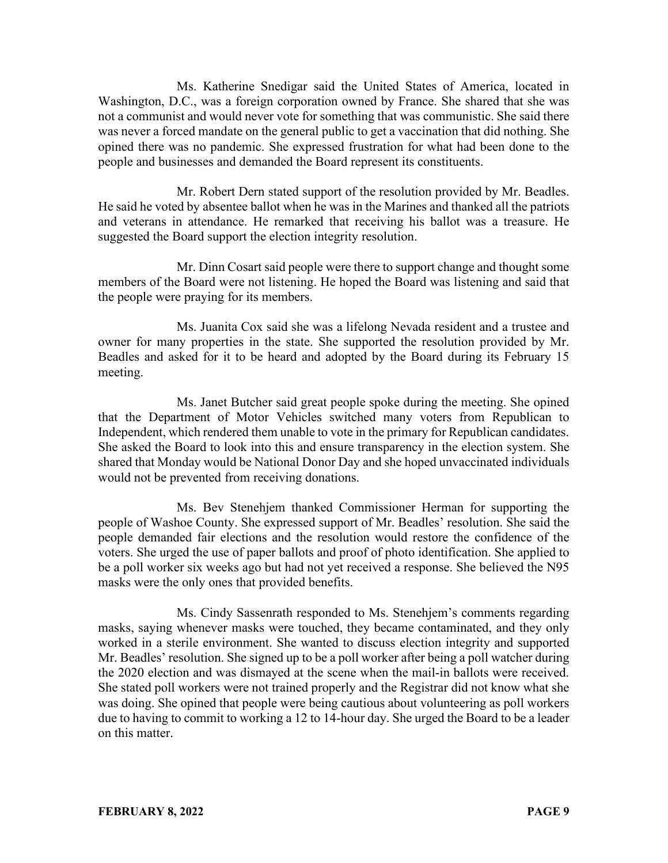Ms. Katherine Snedigar said the United States of America, located in Washington, D.C., was a foreign corporation owned by France. She shared that she was not a communist and would never vote for something that was communistic. She said there was never a forced mandate on the general public to get a vaccination that did nothing. She opined there was no pandemic. She expressed frustration for what had been done to the people and businesses and demanded the Board represent its constituents.

Mr. Robert Dern stated support of the resolution provided by Mr. Beadles. He said he voted by absentee ballot when he was in the Marines and thanked all the patriots and veterans in attendance. He remarked that receiving his ballot was a treasure. He suggested the Board support the election integrity resolution.

Mr. Dinn Cosart said people were there to support change and thought some members of the Board were not listening. He hoped the Board was listening and said that the people were praying for its members.

Ms. Juanita Cox said she was a lifelong Nevada resident and a trustee and owner for many properties in the state. She supported the resolution provided by Mr. Beadles and asked for it to be heard and adopted by the Board during its February 15 meeting.

Ms. Janet Butcher said great people spoke during the meeting. She opined that the Department of Motor Vehicles switched many voters from Republican to Independent, which rendered them unable to vote in the primary for Republican candidates. She asked the Board to look into this and ensure transparency in the election system. She shared that Monday would be National Donor Day and she hoped unvaccinated individuals would not be prevented from receiving donations.

Ms. Bev Stenehjem thanked Commissioner Herman for supporting the people of Washoe County. She expressed support of Mr. Beadles' resolution. She said the people demanded fair elections and the resolution would restore the confidence of the voters. She urged the use of paper ballots and proof of photo identification. She applied to be a poll worker six weeks ago but had not yet received a response. She believed the N95 masks were the only ones that provided benefits.

Ms. Cindy Sassenrath responded to Ms. Stenehjem's comments regarding masks, saying whenever masks were touched, they became contaminated, and they only worked in a sterile environment. She wanted to discuss election integrity and supported Mr. Beadles' resolution. She signed up to be a poll worker after being a poll watcher during the 2020 election and was dismayed at the scene when the mail-in ballots were received. She stated poll workers were not trained properly and the Registrar did not know what she was doing. She opined that people were being cautious about volunteering as poll workers due to having to commit to working a 12 to 14-hour day. She urged the Board to be a leader on this matter.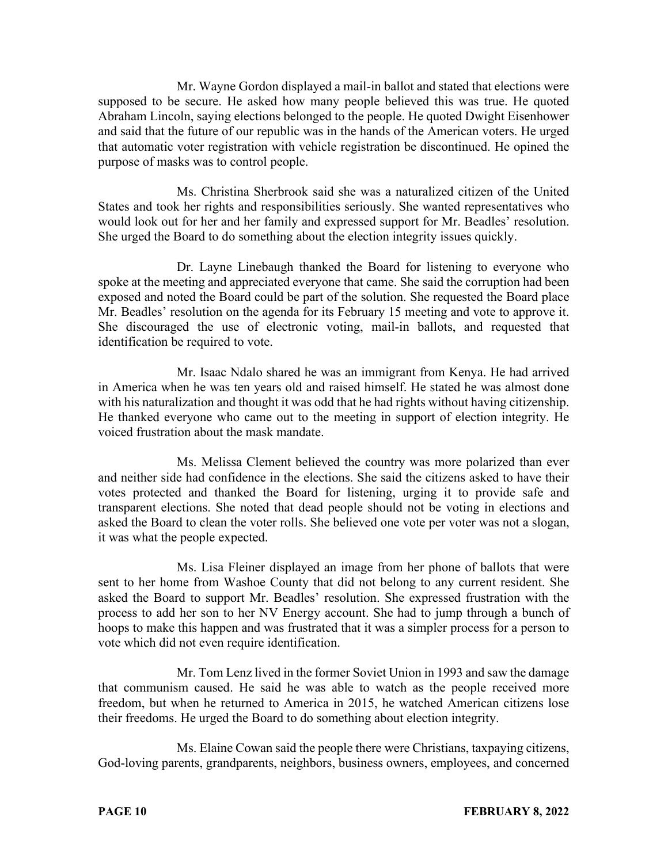Mr. Wayne Gordon displayed a mail-in ballot and stated that elections were supposed to be secure. He asked how many people believed this was true. He quoted Abraham Lincoln, saying elections belonged to the people. He quoted Dwight Eisenhower and said that the future of our republic was in the hands of the American voters. He urged that automatic voter registration with vehicle registration be discontinued. He opined the purpose of masks was to control people.

Ms. Christina Sherbrook said she was a naturalized citizen of the United States and took her rights and responsibilities seriously. She wanted representatives who would look out for her and her family and expressed support for Mr. Beadles' resolution. She urged the Board to do something about the election integrity issues quickly.

Dr. Layne Linebaugh thanked the Board for listening to everyone who spoke at the meeting and appreciated everyone that came. She said the corruption had been exposed and noted the Board could be part of the solution. She requested the Board place Mr. Beadles' resolution on the agenda for its February 15 meeting and vote to approve it. She discouraged the use of electronic voting, mail-in ballots, and requested that identification be required to vote.

Mr. Isaac Ndalo shared he was an immigrant from Kenya. He had arrived in America when he was ten years old and raised himself. He stated he was almost done with his naturalization and thought it was odd that he had rights without having citizenship. He thanked everyone who came out to the meeting in support of election integrity. He voiced frustration about the mask mandate.

Ms. Melissa Clement believed the country was more polarized than ever and neither side had confidence in the elections. She said the citizens asked to have their votes protected and thanked the Board for listening, urging it to provide safe and transparent elections. She noted that dead people should not be voting in elections and asked the Board to clean the voter rolls. She believed one vote per voter was not a slogan, it was what the people expected.

Ms. Lisa Fleiner displayed an image from her phone of ballots that were sent to her home from Washoe County that did not belong to any current resident. She asked the Board to support Mr. Beadles' resolution. She expressed frustration with the process to add her son to her NV Energy account. She had to jump through a bunch of hoops to make this happen and was frustrated that it was a simpler process for a person to vote which did not even require identification.

Mr. Tom Lenz lived in the former Soviet Union in 1993 and saw the damage that communism caused. He said he was able to watch as the people received more freedom, but when he returned to America in 2015, he watched American citizens lose their freedoms. He urged the Board to do something about election integrity.

Ms. Elaine Cowan said the people there were Christians, taxpaying citizens, God-loving parents, grandparents, neighbors, business owners, employees, and concerned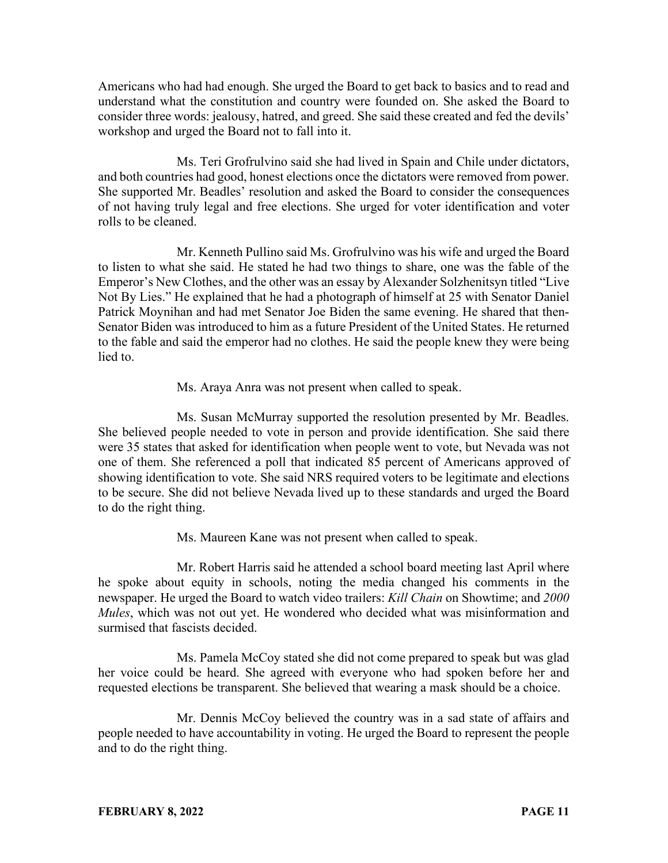Americans who had had enough. She urged the Board to get back to basics and to read and understand what the constitution and country were founded on. She asked the Board to consider three words: jealousy, hatred, and greed. She said these created and fed the devils' workshop and urged the Board not to fall into it.

Ms. Teri Grofrulvino said she had lived in Spain and Chile under dictators, and both countries had good, honest elections once the dictators were removed from power. She supported Mr. Beadles' resolution and asked the Board to consider the consequences of not having truly legal and free elections. She urged for voter identification and voter rolls to be cleaned.

Mr. Kenneth Pullino said Ms. Grofrulvino was his wife and urged the Board to listen to what she said. He stated he had two things to share, one was the fable of the Emperor's New Clothes, and the other was an essay by Alexander Solzhenitsyn titled "Live Not By Lies." He explained that he had a photograph of himself at 25 with Senator Daniel Patrick Moynihan and had met Senator Joe Biden the same evening. He shared that then-Senator Biden was introduced to him as a future President of the United States. He returned to the fable and said the emperor had no clothes. He said the people knew they were being lied to.

Ms. Araya Anra was not present when called to speak.

Ms. Susan McMurray supported the resolution presented by Mr. Beadles. She believed people needed to vote in person and provide identification. She said there were 35 states that asked for identification when people went to vote, but Nevada was not one of them. She referenced a poll that indicated 85 percent of Americans approved of showing identification to vote. She said NRS required voters to be legitimate and elections to be secure. She did not believe Nevada lived up to these standards and urged the Board to do the right thing.

Ms. Maureen Kane was not present when called to speak.

Mr. Robert Harris said he attended a school board meeting last April where he spoke about equity in schools, noting the media changed his comments in the newspaper. He urged the Board to watch video trailers: *Kill Chain* on Showtime; and *2000 Mules*, which was not out yet. He wondered who decided what was misinformation and surmised that fascists decided.

Ms. Pamela McCoy stated she did not come prepared to speak but was glad her voice could be heard. She agreed with everyone who had spoken before her and requested elections be transparent. She believed that wearing a mask should be a choice.

Mr. Dennis McCoy believed the country was in a sad state of affairs and people needed to have accountability in voting. He urged the Board to represent the people and to do the right thing.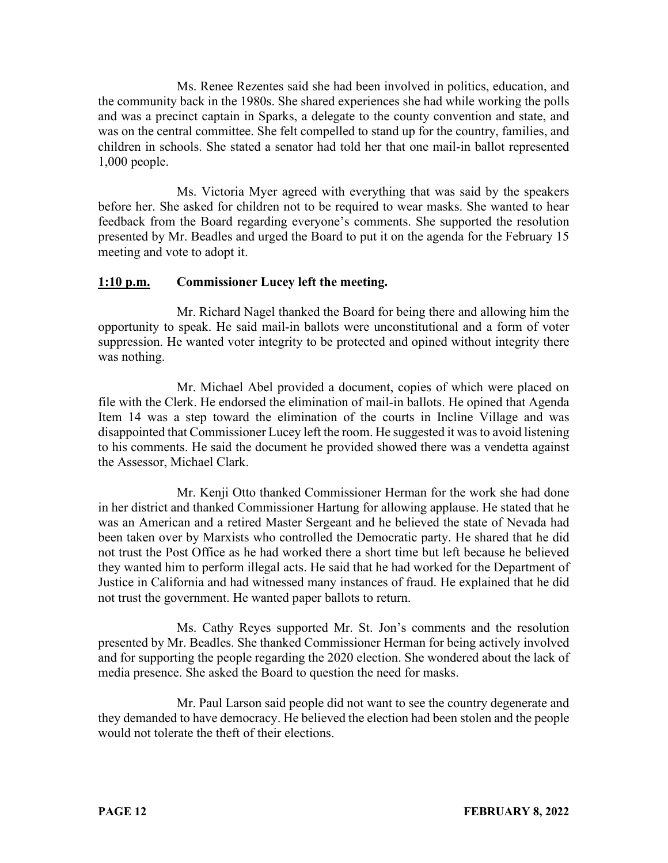Ms. Renee Rezentes said she had been involved in politics, education, and the community back in the 1980s. She shared experiences she had while working the polls and was a precinct captain in Sparks, a delegate to the county convention and state, and was on the central committee. She felt compelled to stand up for the country, families, and children in schools. She stated a senator had told her that one mail-in ballot represented 1,000 people.

Ms. Victoria Myer agreed with everything that was said by the speakers before her. She asked for children not to be required to wear masks. She wanted to hear feedback from the Board regarding everyone's comments. She supported the resolution presented by Mr. Beadles and urged the Board to put it on the agenda for the February 15 meeting and vote to adopt it.

## **1:10 p.m. Commissioner Lucey left the meeting.**

Mr. Richard Nagel thanked the Board for being there and allowing him the opportunity to speak. He said mail-in ballots were unconstitutional and a form of voter suppression. He wanted voter integrity to be protected and opined without integrity there was nothing.

Mr. Michael Abel provided a document, copies of which were placed on file with the Clerk. He endorsed the elimination of mail-in ballots. He opined that Agenda Item 14 was a step toward the elimination of the courts in Incline Village and was disappointed that Commissioner Lucey left the room. He suggested it wasto avoid listening to his comments. He said the document he provided showed there was a vendetta against the Assessor, Michael Clark.

Mr. Kenji Otto thanked Commissioner Herman for the work she had done in her district and thanked Commissioner Hartung for allowing applause. He stated that he was an American and a retired Master Sergeant and he believed the state of Nevada had been taken over by Marxists who controlled the Democratic party. He shared that he did not trust the Post Office as he had worked there a short time but left because he believed they wanted him to perform illegal acts. He said that he had worked for the Department of Justice in California and had witnessed many instances of fraud. He explained that he did not trust the government. He wanted paper ballots to return.

Ms. Cathy Reyes supported Mr. St. Jon's comments and the resolution presented by Mr. Beadles. She thanked Commissioner Herman for being actively involved and for supporting the people regarding the 2020 election. She wondered about the lack of media presence. She asked the Board to question the need for masks.

Mr. Paul Larson said people did not want to see the country degenerate and they demanded to have democracy. He believed the election had been stolen and the people would not tolerate the theft of their elections.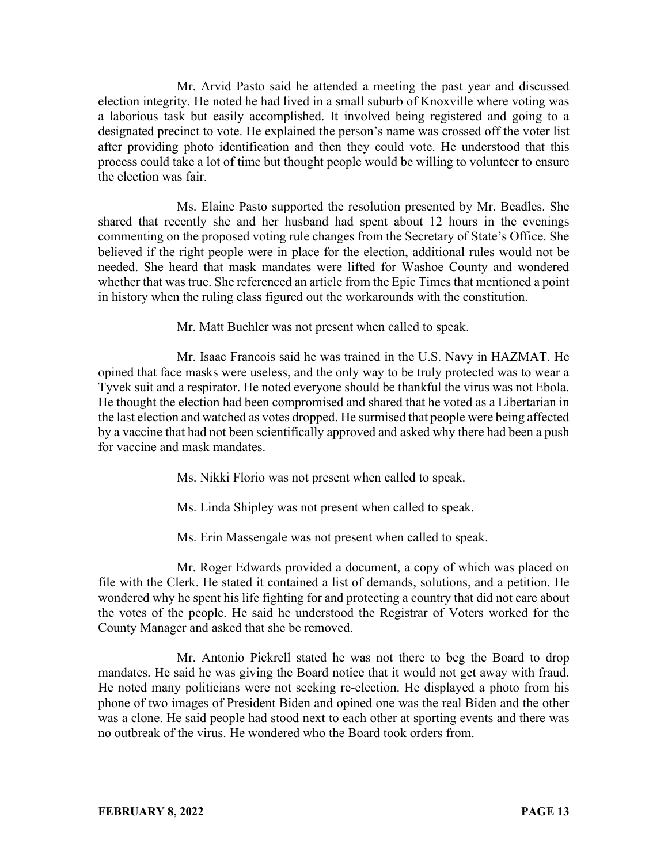Mr. Arvid Pasto said he attended a meeting the past year and discussed election integrity. He noted he had lived in a small suburb of Knoxville where voting was a laborious task but easily accomplished. It involved being registered and going to a designated precinct to vote. He explained the person's name was crossed off the voter list after providing photo identification and then they could vote. He understood that this process could take a lot of time but thought people would be willing to volunteer to ensure the election was fair.

Ms. Elaine Pasto supported the resolution presented by Mr. Beadles. She shared that recently she and her husband had spent about 12 hours in the evenings commenting on the proposed voting rule changes from the Secretary of State's Office. She believed if the right people were in place for the election, additional rules would not be needed. She heard that mask mandates were lifted for Washoe County and wondered whether that was true. She referenced an article from the Epic Times that mentioned a point in history when the ruling class figured out the workarounds with the constitution.

Mr. Matt Buehler was not present when called to speak.

Mr. Isaac Francois said he was trained in the U.S. Navy in HAZMAT. He opined that face masks were useless, and the only way to be truly protected was to wear a Tyvek suit and a respirator. He noted everyone should be thankful the virus was not Ebola. He thought the election had been compromised and shared that he voted as a Libertarian in the last election and watched as votes dropped. He surmised that people were being affected by a vaccine that had not been scientifically approved and asked why there had been a push for vaccine and mask mandates.

Ms. Nikki Florio was not present when called to speak.

Ms. Linda Shipley was not present when called to speak.

Ms. Erin Massengale was not present when called to speak.

Mr. Roger Edwards provided a document, a copy of which was placed on file with the Clerk. He stated it contained a list of demands, solutions, and a petition. He wondered why he spent his life fighting for and protecting a country that did not care about the votes of the people. He said he understood the Registrar of Voters worked for the County Manager and asked that she be removed.

Mr. Antonio Pickrell stated he was not there to beg the Board to drop mandates. He said he was giving the Board notice that it would not get away with fraud. He noted many politicians were not seeking re-election. He displayed a photo from his phone of two images of President Biden and opined one was the real Biden and the other was a clone. He said people had stood next to each other at sporting events and there was no outbreak of the virus. He wondered who the Board took orders from.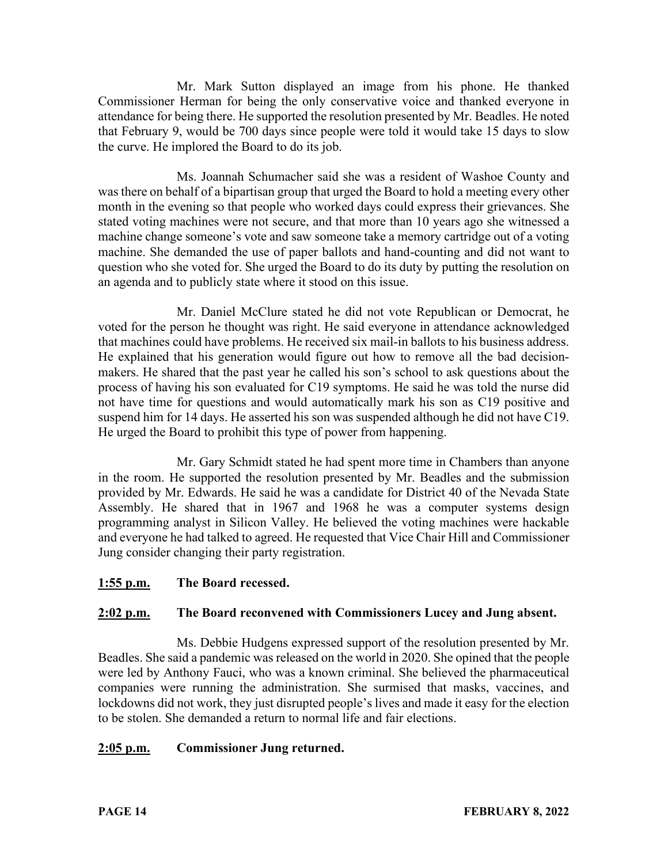Mr. Mark Sutton displayed an image from his phone. He thanked Commissioner Herman for being the only conservative voice and thanked everyone in attendance for being there. He supported the resolution presented by Mr. Beadles. He noted that February 9, would be 700 days since people were told it would take 15 days to slow the curve. He implored the Board to do its job.

Ms. Joannah Schumacher said she was a resident of Washoe County and was there on behalf of a bipartisan group that urged the Board to hold a meeting every other month in the evening so that people who worked days could express their grievances. She stated voting machines were not secure, and that more than 10 years ago she witnessed a machine change someone's vote and saw someone take a memory cartridge out of a voting machine. She demanded the use of paper ballots and hand-counting and did not want to question who she voted for. She urged the Board to do its duty by putting the resolution on an agenda and to publicly state where it stood on this issue.

Mr. Daniel McClure stated he did not vote Republican or Democrat, he voted for the person he thought was right. He said everyone in attendance acknowledged that machines could have problems. He received six mail-in ballots to his business address. He explained that his generation would figure out how to remove all the bad decisionmakers. He shared that the past year he called his son's school to ask questions about the process of having his son evaluated for C19 symptoms. He said he was told the nurse did not have time for questions and would automatically mark his son as C19 positive and suspend him for 14 days. He asserted his son was suspended although he did not have C19. He urged the Board to prohibit this type of power from happening.

Mr. Gary Schmidt stated he had spent more time in Chambers than anyone in the room. He supported the resolution presented by Mr. Beadles and the submission provided by Mr. Edwards. He said he was a candidate for District 40 of the Nevada State Assembly. He shared that in 1967 and 1968 he was a computer systems design programming analyst in Silicon Valley. He believed the voting machines were hackable and everyone he had talked to agreed. He requested that Vice Chair Hill and Commissioner Jung consider changing their party registration.

### **1:55 p.m. The Board recessed.**

### **2:02 p.m. The Board reconvened with Commissioners Lucey and Jung absent.**

Ms. Debbie Hudgens expressed support of the resolution presented by Mr. Beadles. She said a pandemic was released on the world in 2020. She opined that the people were led by Anthony Fauci, who was a known criminal. She believed the pharmaceutical companies were running the administration. She surmised that masks, vaccines, and lockdowns did not work, they just disrupted people's lives and made it easy for the election to be stolen. She demanded a return to normal life and fair elections.

### **2:05 p.m. Commissioner Jung returned.**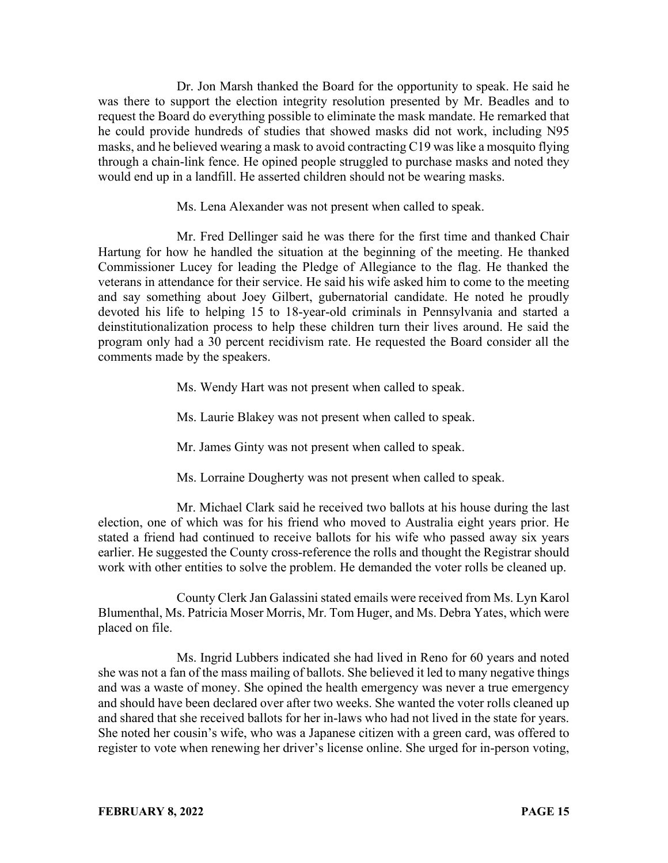Dr. Jon Marsh thanked the Board for the opportunity to speak. He said he was there to support the election integrity resolution presented by Mr. Beadles and to request the Board do everything possible to eliminate the mask mandate. He remarked that he could provide hundreds of studies that showed masks did not work, including N95 masks, and he believed wearing a mask to avoid contracting C19 was like a mosquito flying through a chain-link fence. He opined people struggled to purchase masks and noted they would end up in a landfill. He asserted children should not be wearing masks.

Ms. Lena Alexander was not present when called to speak.

Mr. Fred Dellinger said he was there for the first time and thanked Chair Hartung for how he handled the situation at the beginning of the meeting. He thanked Commissioner Lucey for leading the Pledge of Allegiance to the flag. He thanked the veterans in attendance for their service. He said his wife asked him to come to the meeting and say something about Joey Gilbert, gubernatorial candidate. He noted he proudly devoted his life to helping 15 to 18-year-old criminals in Pennsylvania and started a deinstitutionalization process to help these children turn their lives around. He said the program only had a 30 percent recidivism rate. He requested the Board consider all the comments made by the speakers.

Ms. Wendy Hart was not present when called to speak.

Ms. Laurie Blakey was not present when called to speak.

Mr. James Ginty was not present when called to speak.

Ms. Lorraine Dougherty was not present when called to speak.

Mr. Michael Clark said he received two ballots at his house during the last election, one of which was for his friend who moved to Australia eight years prior. He stated a friend had continued to receive ballots for his wife who passed away six years earlier. He suggested the County cross-reference the rolls and thought the Registrar should work with other entities to solve the problem. He demanded the voter rolls be cleaned up.

County Clerk Jan Galassini stated emails were received from Ms. Lyn Karol Blumenthal, Ms. Patricia Moser Morris, Mr. Tom Huger, and Ms. Debra Yates, which were placed on file.

Ms. Ingrid Lubbers indicated she had lived in Reno for 60 years and noted she was not a fan of the mass mailing of ballots. She believed it led to many negative things and was a waste of money. She opined the health emergency was never a true emergency and should have been declared over after two weeks. She wanted the voter rolls cleaned up and shared that she received ballots for her in-laws who had not lived in the state for years. She noted her cousin's wife, who was a Japanese citizen with a green card, was offered to register to vote when renewing her driver's license online. She urged for in-person voting,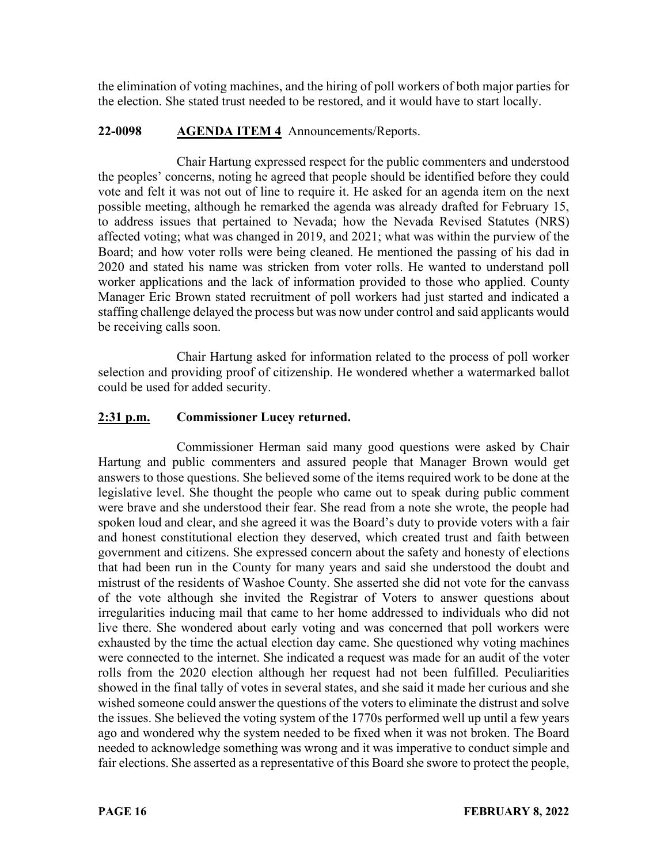the elimination of voting machines, and the hiring of poll workers of both major parties for the election. She stated trust needed to be restored, and it would have to start locally.

### **22-0098 AGENDA ITEM 4** Announcements/Reports.

Chair Hartung expressed respect for the public commenters and understood the peoples' concerns, noting he agreed that people should be identified before they could vote and felt it was not out of line to require it. He asked for an agenda item on the next possible meeting, although he remarked the agenda was already drafted for February 15, to address issues that pertained to Nevada; how the Nevada Revised Statutes (NRS) affected voting; what was changed in 2019, and 2021; what was within the purview of the Board; and how voter rolls were being cleaned. He mentioned the passing of his dad in 2020 and stated his name was stricken from voter rolls. He wanted to understand poll worker applications and the lack of information provided to those who applied. County Manager Eric Brown stated recruitment of poll workers had just started and indicated a staffing challenge delayed the process but was now under control and said applicants would be receiving calls soon.

Chair Hartung asked for information related to the process of poll worker selection and providing proof of citizenship. He wondered whether a watermarked ballot could be used for added security.

## **2:31 p.m. Commissioner Lucey returned.**

Commissioner Herman said many good questions were asked by Chair Hartung and public commenters and assured people that Manager Brown would get answers to those questions. She believed some of the items required work to be done at the legislative level. She thought the people who came out to speak during public comment were brave and she understood their fear. She read from a note she wrote, the people had spoken loud and clear, and she agreed it was the Board's duty to provide voters with a fair and honest constitutional election they deserved, which created trust and faith between government and citizens. She expressed concern about the safety and honesty of elections that had been run in the County for many years and said she understood the doubt and mistrust of the residents of Washoe County. She asserted she did not vote for the canvass of the vote although she invited the Registrar of Voters to answer questions about irregularities inducing mail that came to her home addressed to individuals who did not live there. She wondered about early voting and was concerned that poll workers were exhausted by the time the actual election day came. She questioned why voting machines were connected to the internet. She indicated a request was made for an audit of the voter rolls from the 2020 election although her request had not been fulfilled. Peculiarities showed in the final tally of votes in several states, and she said it made her curious and she wished someone could answer the questions of the voters to eliminate the distrust and solve the issues. She believed the voting system of the 1770s performed well up until a few years ago and wondered why the system needed to be fixed when it was not broken. The Board needed to acknowledge something was wrong and it was imperative to conduct simple and fair elections. She asserted as a representative of this Board she swore to protect the people,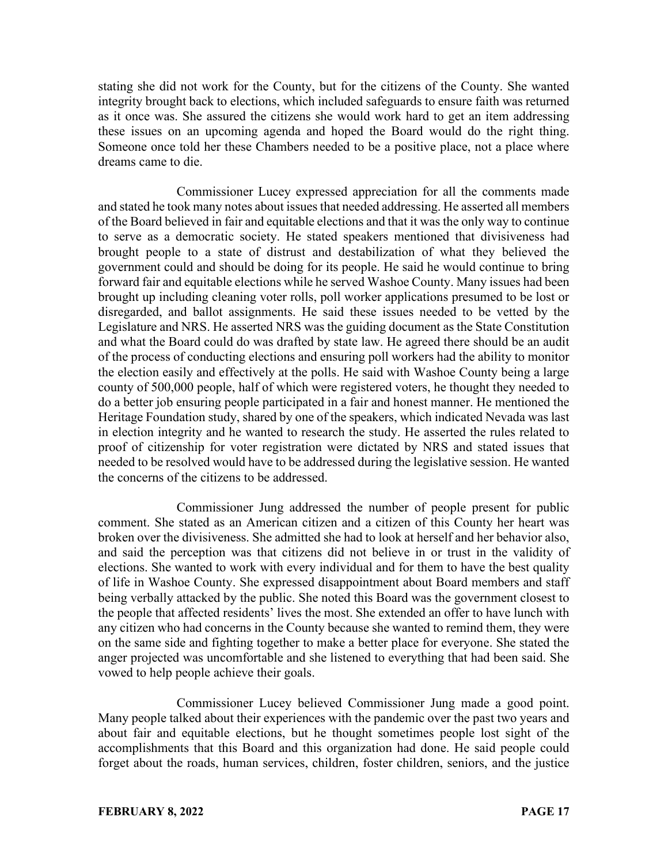stating she did not work for the County, but for the citizens of the County. She wanted integrity brought back to elections, which included safeguards to ensure faith was returned as it once was. She assured the citizens she would work hard to get an item addressing these issues on an upcoming agenda and hoped the Board would do the right thing. Someone once told her these Chambers needed to be a positive place, not a place where dreams came to die.

Commissioner Lucey expressed appreciation for all the comments made and stated he took many notes about issues that needed addressing. He asserted all members of the Board believed in fair and equitable elections and that it was the only way to continue to serve as a democratic society. He stated speakers mentioned that divisiveness had brought people to a state of distrust and destabilization of what they believed the government could and should be doing for its people. He said he would continue to bring forward fair and equitable elections while he served Washoe County. Many issues had been brought up including cleaning voter rolls, poll worker applications presumed to be lost or disregarded, and ballot assignments. He said these issues needed to be vetted by the Legislature and NRS. He asserted NRS was the guiding document as the State Constitution and what the Board could do was drafted by state law. He agreed there should be an audit of the process of conducting elections and ensuring poll workers had the ability to monitor the election easily and effectively at the polls. He said with Washoe County being a large county of 500,000 people, half of which were registered voters, he thought they needed to do a better job ensuring people participated in a fair and honest manner. He mentioned the Heritage Foundation study, shared by one of the speakers, which indicated Nevada was last in election integrity and he wanted to research the study. He asserted the rules related to proof of citizenship for voter registration were dictated by NRS and stated issues that needed to be resolved would have to be addressed during the legislative session. He wanted the concerns of the citizens to be addressed.

Commissioner Jung addressed the number of people present for public comment. She stated as an American citizen and a citizen of this County her heart was broken over the divisiveness. She admitted she had to look at herself and her behavior also, and said the perception was that citizens did not believe in or trust in the validity of elections. She wanted to work with every individual and for them to have the best quality of life in Washoe County. She expressed disappointment about Board members and staff being verbally attacked by the public. She noted this Board was the government closest to the people that affected residents' lives the most. She extended an offer to have lunch with any citizen who had concerns in the County because she wanted to remind them, they were on the same side and fighting together to make a better place for everyone. She stated the anger projected was uncomfortable and she listened to everything that had been said. She vowed to help people achieve their goals.

Commissioner Lucey believed Commissioner Jung made a good point. Many people talked about their experiences with the pandemic over the past two years and about fair and equitable elections, but he thought sometimes people lost sight of the accomplishments that this Board and this organization had done. He said people could forget about the roads, human services, children, foster children, seniors, and the justice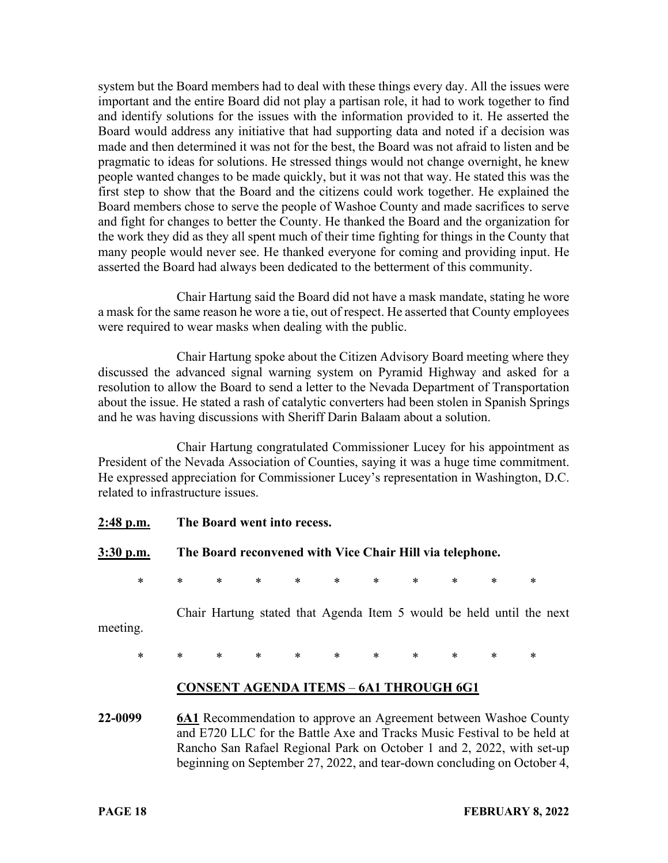system but the Board members had to deal with these things every day. All the issues were important and the entire Board did not play a partisan role, it had to work together to find and identify solutions for the issues with the information provided to it. He asserted the Board would address any initiative that had supporting data and noted if a decision was made and then determined it was not for the best, the Board was not afraid to listen and be pragmatic to ideas for solutions. He stressed things would not change overnight, he knew people wanted changes to be made quickly, but it was not that way. He stated this was the first step to show that the Board and the citizens could work together. He explained the Board members chose to serve the people of Washoe County and made sacrifices to serve and fight for changes to better the County. He thanked the Board and the organization for the work they did as they all spent much of their time fighting for things in the County that many people would never see. He thanked everyone for coming and providing input. He asserted the Board had always been dedicated to the betterment of this community.

Chair Hartung said the Board did not have a mask mandate, stating he wore a mask for the same reason he wore a tie, out of respect. He asserted that County employees were required to wear masks when dealing with the public.

Chair Hartung spoke about the Citizen Advisory Board meeting where they discussed the advanced signal warning system on Pyramid Highway and asked for a resolution to allow the Board to send a letter to the Nevada Department of Transportation about the issue. He stated a rash of catalytic converters had been stolen in Spanish Springs and he was having discussions with Sheriff Darin Balaam about a solution.

Chair Hartung congratulated Commissioner Lucey for his appointment as President of the Nevada Association of Counties, saying it was a huge time commitment. He expressed appreciation for Commissioner Lucey's representation in Washington, D.C. related to infrastructure issues.

**2:48 p.m. The Board went into recess. 3:30 p.m. The Board reconvened with Vice Chair Hill via telephone.** \* \* \* \* \* \* \* \* \* \* \* Chair Hartung stated that Agenda Item 5 would be held until the next meeting. \* \* \* \* \* \* \* \* \* \* \* **CONSENT AGENDA ITEMS** – **6A1 THROUGH 6G1 22-0099 6A1** Recommendation to approve an Agreement between Washoe County and E720 LLC for the Battle Axe and Tracks Music Festival to be held at Rancho San Rafael Regional Park on October 1 and 2, 2022, with set-up

beginning on September 27, 2022, and tear-down concluding on October 4,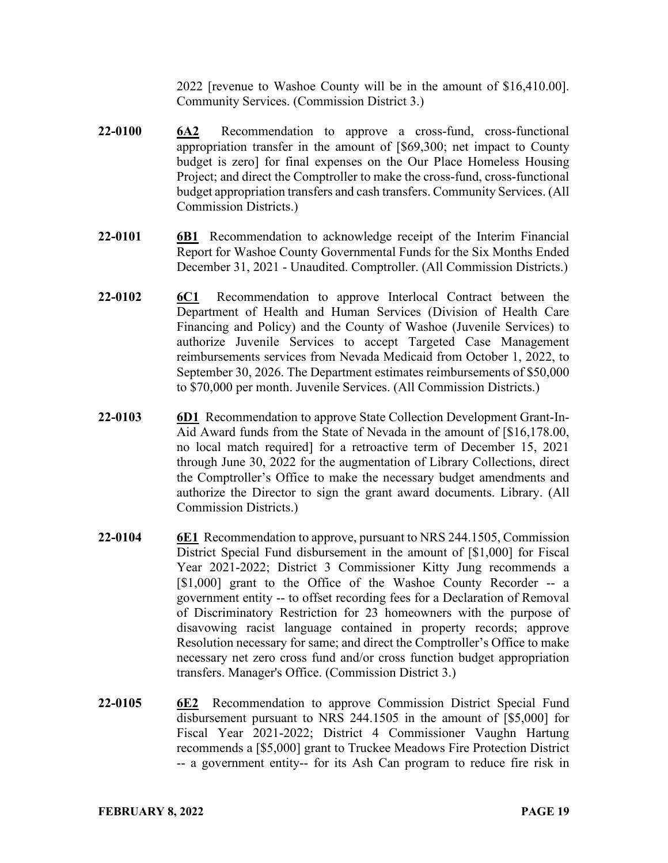2022 [revenue to Washoe County will be in the amount of \$16,410.00]. Community Services. (Commission District 3.)

- **22-0100 6A2** Recommendation to approve a cross-fund, cross-functional appropriation transfer in the amount of [\$69,300; net impact to County budget is zero] for final expenses on the Our Place Homeless Housing Project; and direct the Comptroller to make the cross-fund, cross-functional budget appropriation transfers and cash transfers. Community Services. (All Commission Districts.)
- **22-0101 6B1** Recommendation to acknowledge receipt of the Interim Financial Report for Washoe County Governmental Funds for the Six Months Ended December 31, 2021 - Unaudited. Comptroller. (All Commission Districts.)
- **22-0102 6C1** Recommendation to approve Interlocal Contract between the Department of Health and Human Services (Division of Health Care Financing and Policy) and the County of Washoe (Juvenile Services) to authorize Juvenile Services to accept Targeted Case Management reimbursements services from Nevada Medicaid from October 1, 2022, to September 30, 2026. The Department estimates reimbursements of \$50,000 to \$70,000 per month. Juvenile Services. (All Commission Districts.)
- **22-0103 6D1** Recommendation to approve State Collection Development Grant-In-Aid Award funds from the State of Nevada in the amount of [\$16,178.00, no local match required] for a retroactive term of December 15, 2021 through June 30, 2022 for the augmentation of Library Collections, direct the Comptroller's Office to make the necessary budget amendments and authorize the Director to sign the grant award documents. Library. (All Commission Districts.)
- **22-0104 6E1** Recommendation to approve, pursuant to NRS 244.1505, Commission District Special Fund disbursement in the amount of [\$1,000] for Fiscal Year 2021-2022; District 3 Commissioner Kitty Jung recommends a [\$1,000] grant to the Office of the Washoe County Recorder -- a government entity -- to offset recording fees for a Declaration of Removal of Discriminatory Restriction for 23 homeowners with the purpose of disavowing racist language contained in property records; approve Resolution necessary for same; and direct the Comptroller's Office to make necessary net zero cross fund and/or cross function budget appropriation transfers. Manager's Office. (Commission District 3.)
- **22-0105 6E2** Recommendation to approve Commission District Special Fund disbursement pursuant to NRS 244.1505 in the amount of [\$5,000] for Fiscal Year 2021-2022; District 4 Commissioner Vaughn Hartung recommends a [\$5,000] grant to Truckee Meadows Fire Protection District -- a government entity-- for its Ash Can program to reduce fire risk in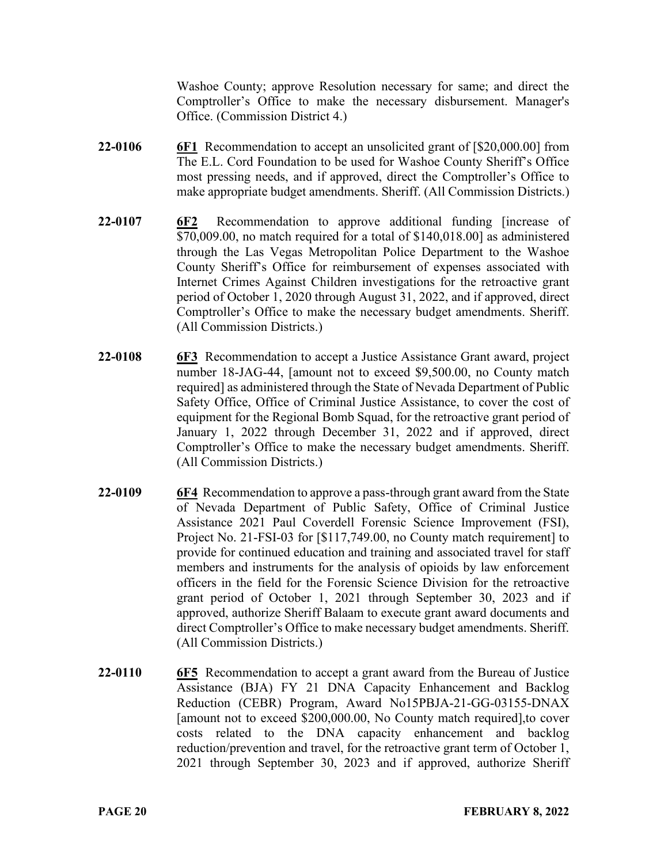Washoe County; approve Resolution necessary for same; and direct the Comptroller's Office to make the necessary disbursement. Manager's Office. (Commission District 4.)

- **22-0106 6F1** Recommendation to accept an unsolicited grant of [\$20,000.00] from The E.L. Cord Foundation to be used for Washoe County Sheriff's Office most pressing needs, and if approved, direct the Comptroller's Office to make appropriate budget amendments. Sheriff. (All Commission Districts.)
- **22-0107 6F2** Recommendation to approve additional funding [increase of \$70,009.00, no match required for a total of \$140,018.00] as administered through the Las Vegas Metropolitan Police Department to the Washoe County Sheriff's Office for reimbursement of expenses associated with Internet Crimes Against Children investigations for the retroactive grant period of October 1, 2020 through August 31, 2022, and if approved, direct Comptroller's Office to make the necessary budget amendments. Sheriff. (All Commission Districts.)
- **22-0108 6F3** Recommendation to accept a Justice Assistance Grant award, project number 18-JAG-44, [amount not to exceed \$9,500.00, no County match required] as administered through the State of Nevada Department of Public Safety Office, Office of Criminal Justice Assistance, to cover the cost of equipment for the Regional Bomb Squad, for the retroactive grant period of January 1, 2022 through December 31, 2022 and if approved, direct Comptroller's Office to make the necessary budget amendments. Sheriff. (All Commission Districts.)
- **22-0109 6F4** Recommendation to approve a pass-through grant award from the State of Nevada Department of Public Safety, Office of Criminal Justice Assistance 2021 Paul Coverdell Forensic Science Improvement (FSI), Project No. 21-FSI-03 for [\$117,749.00, no County match requirement] to provide for continued education and training and associated travel for staff members and instruments for the analysis of opioids by law enforcement officers in the field for the Forensic Science Division for the retroactive grant period of October 1, 2021 through September 30, 2023 and if approved, authorize Sheriff Balaam to execute grant award documents and direct Comptroller's Office to make necessary budget amendments. Sheriff. (All Commission Districts.)
- **22-0110 6F5** Recommendation to accept a grant award from the Bureau of Justice Assistance (BJA) FY 21 DNA Capacity Enhancement and Backlog Reduction (CEBR) Program, Award No15PBJA-21-GG-03155-DNAX [amount not to exceed \$200,000.00, No County match required],to cover costs related to the DNA capacity enhancement and backlog reduction/prevention and travel, for the retroactive grant term of October 1, 2021 through September 30, 2023 and if approved, authorize Sheriff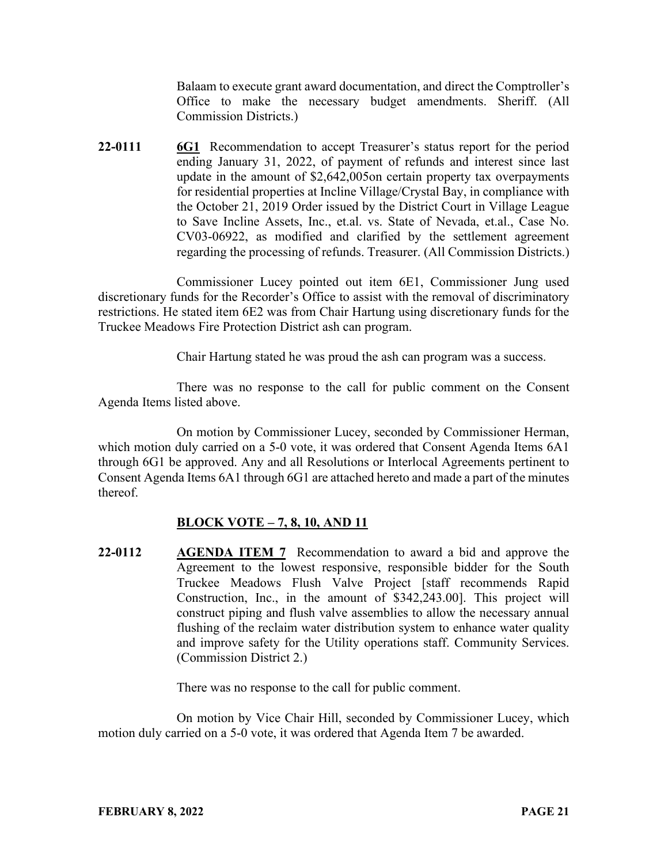Balaam to execute grant award documentation, and direct the Comptroller's Office to make the necessary budget amendments. Sheriff. (All Commission Districts.)

**22-0111 6G1** Recommendation to accept Treasurer's status report for the period ending January 31, 2022, of payment of refunds and interest since last update in the amount of \$2,642,005on certain property tax overpayments for residential properties at Incline Village/Crystal Bay, in compliance with the October 21, 2019 Order issued by the District Court in Village League to Save Incline Assets, Inc., et.al. vs. State of Nevada, et.al., Case No. CV03-06922, as modified and clarified by the settlement agreement regarding the processing of refunds. Treasurer. (All Commission Districts.)

Commissioner Lucey pointed out item 6E1, Commissioner Jung used discretionary funds for the Recorder's Office to assist with the removal of discriminatory restrictions. He stated item 6E2 was from Chair Hartung using discretionary funds for the Truckee Meadows Fire Protection District ash can program.

Chair Hartung stated he was proud the ash can program was a success.

There was no response to the call for public comment on the Consent Agenda Items listed above.

On motion by Commissioner Lucey, seconded by Commissioner Herman, which motion duly carried on a 5-0 vote, it was ordered that Consent Agenda Items 6A1 through 6G1 be approved. Any and all Resolutions or Interlocal Agreements pertinent to Consent Agenda Items 6A1 through 6G1 are attached hereto and made a part of the minutes thereof.

# **BLOCK VOTE – 7, 8, 10, AND 11**

**22-0112 AGENDA ITEM 7** Recommendation to award a bid and approve the Agreement to the lowest responsive, responsible bidder for the South Truckee Meadows Flush Valve Project [staff recommends Rapid Construction, Inc., in the amount of \$342,243.00]. This project will construct piping and flush valve assemblies to allow the necessary annual flushing of the reclaim water distribution system to enhance water quality and improve safety for the Utility operations staff. Community Services. (Commission District 2.)

There was no response to the call for public comment.

On motion by Vice Chair Hill, seconded by Commissioner Lucey, which motion duly carried on a 5-0 vote, it was ordered that Agenda Item 7 be awarded.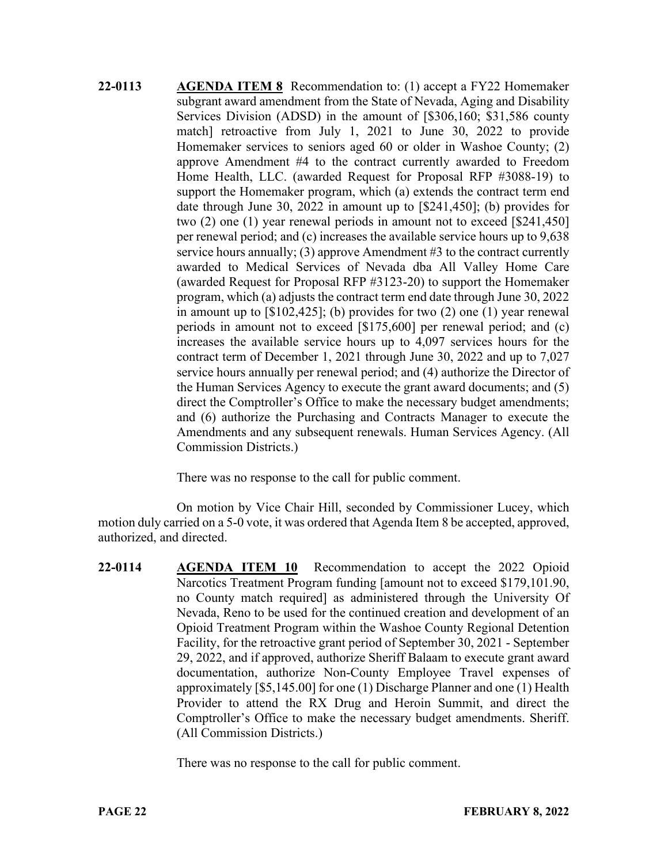**22-0113 AGENDA ITEM 8** Recommendation to: (1) accept a FY22 Homemaker subgrant award amendment from the State of Nevada, Aging and Disability Services Division (ADSD) in the amount of [\$306,160; \$31,586 county match] retroactive from July 1, 2021 to June 30, 2022 to provide Homemaker services to seniors aged 60 or older in Washoe County; (2) approve Amendment #4 to the contract currently awarded to Freedom Home Health, LLC. (awarded Request for Proposal RFP #3088-19) to support the Homemaker program, which (a) extends the contract term end date through June 30, 2022 in amount up to [\$241,450]; (b) provides for two (2) one (1) year renewal periods in amount not to exceed [\$241,450] per renewal period; and (c) increases the available service hours up to 9,638 service hours annually; (3) approve Amendment #3 to the contract currently awarded to Medical Services of Nevada dba All Valley Home Care (awarded Request for Proposal RFP #3123-20) to support the Homemaker program, which (a) adjusts the contract term end date through June 30, 2022 in amount up to [\$102,425]; (b) provides for two (2) one (1) year renewal periods in amount not to exceed [\$175,600] per renewal period; and (c) increases the available service hours up to 4,097 services hours for the contract term of December 1, 2021 through June 30, 2022 and up to 7,027 service hours annually per renewal period; and (4) authorize the Director of the Human Services Agency to execute the grant award documents; and (5) direct the Comptroller's Office to make the necessary budget amendments; and (6) authorize the Purchasing and Contracts Manager to execute the Amendments and any subsequent renewals. Human Services Agency. (All Commission Districts.)

There was no response to the call for public comment.

On motion by Vice Chair Hill, seconded by Commissioner Lucey, which motion duly carried on a 5-0 vote, it was ordered that Agenda Item 8 be accepted, approved, authorized, and directed.

**22-0114 AGENDA ITEM 10** Recommendation to accept the 2022 Opioid Narcotics Treatment Program funding [amount not to exceed \$179,101.90, no County match required] as administered through the University Of Nevada, Reno to be used for the continued creation and development of an Opioid Treatment Program within the Washoe County Regional Detention Facility, for the retroactive grant period of September 30, 2021 - September 29, 2022, and if approved, authorize Sheriff Balaam to execute grant award documentation, authorize Non-County Employee Travel expenses of approximately [\$5,145.00] for one (1) Discharge Planner and one (1) Health Provider to attend the RX Drug and Heroin Summit, and direct the Comptroller's Office to make the necessary budget amendments. Sheriff. (All Commission Districts.)

There was no response to the call for public comment.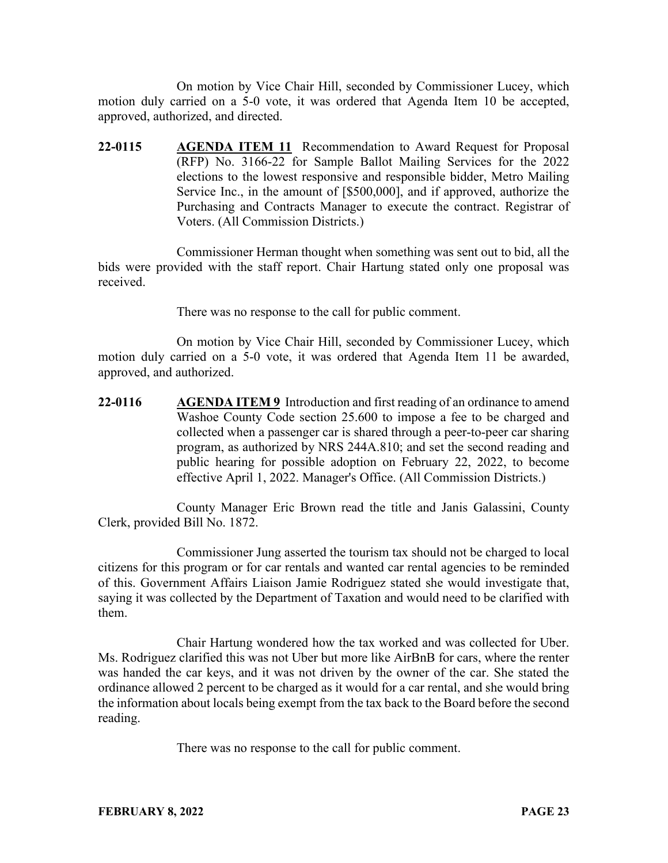On motion by Vice Chair Hill, seconded by Commissioner Lucey, which motion duly carried on a 5-0 vote, it was ordered that Agenda Item 10 be accepted, approved, authorized, and directed.

**22-0115 AGENDA ITEM 11** Recommendation to Award Request for Proposal (RFP) No. 3166-22 for Sample Ballot Mailing Services for the 2022 elections to the lowest responsive and responsible bidder, Metro Mailing Service Inc., in the amount of [\$500,000], and if approved, authorize the Purchasing and Contracts Manager to execute the contract. Registrar of Voters. (All Commission Districts.)

Commissioner Herman thought when something was sent out to bid, all the bids were provided with the staff report. Chair Hartung stated only one proposal was received.

There was no response to the call for public comment.

On motion by Vice Chair Hill, seconded by Commissioner Lucey, which motion duly carried on a 5-0 vote, it was ordered that Agenda Item 11 be awarded, approved, and authorized.

**22-0116 AGENDA ITEM 9** Introduction and first reading of an ordinance to amend Washoe County Code section 25.600 to impose a fee to be charged and collected when a passenger car is shared through a peer-to-peer car sharing program, as authorized by NRS 244A.810; and set the second reading and public hearing for possible adoption on February 22, 2022, to become effective April 1, 2022. Manager's Office. (All Commission Districts.)

County Manager Eric Brown read the title and Janis Galassini, County Clerk, provided Bill No. 1872.

Commissioner Jung asserted the tourism tax should not be charged to local citizens for this program or for car rentals and wanted car rental agencies to be reminded of this. Government Affairs Liaison Jamie Rodriguez stated she would investigate that, saying it was collected by the Department of Taxation and would need to be clarified with them.

Chair Hartung wondered how the tax worked and was collected for Uber. Ms. Rodriguez clarified this was not Uber but more like AirBnB for cars, where the renter was handed the car keys, and it was not driven by the owner of the car. She stated the ordinance allowed 2 percent to be charged as it would for a car rental, and she would bring the information about locals being exempt from the tax back to the Board before the second reading.

There was no response to the call for public comment.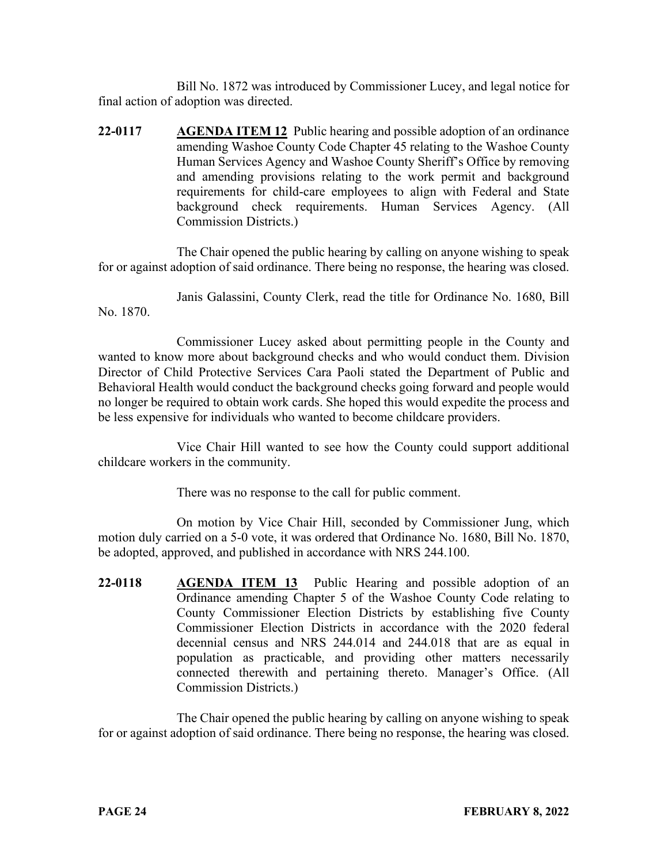Bill No. 1872 was introduced by Commissioner Lucey, and legal notice for final action of adoption was directed.

**22-0117 AGENDA ITEM 12** Public hearing and possible adoption of an ordinance amending Washoe County Code Chapter 45 relating to the Washoe County Human Services Agency and Washoe County Sheriff's Office by removing and amending provisions relating to the work permit and background requirements for child-care employees to align with Federal and State background check requirements. Human Services Agency. (All Commission Districts.)

The Chair opened the public hearing by calling on anyone wishing to speak for or against adoption of said ordinance. There being no response, the hearing was closed.

Janis Galassini, County Clerk, read the title for Ordinance No. 1680, Bill No. 1870.

Commissioner Lucey asked about permitting people in the County and wanted to know more about background checks and who would conduct them. Division Director of Child Protective Services Cara Paoli stated the Department of Public and Behavioral Health would conduct the background checks going forward and people would no longer be required to obtain work cards. She hoped this would expedite the process and be less expensive for individuals who wanted to become childcare providers.

Vice Chair Hill wanted to see how the County could support additional childcare workers in the community.

There was no response to the call for public comment.

On motion by Vice Chair Hill, seconded by Commissioner Jung, which motion duly carried on a 5-0 vote, it was ordered that Ordinance No. 1680, Bill No. 1870, be adopted, approved, and published in accordance with NRS 244.100.

**22-0118 AGENDA ITEM 13** Public Hearing and possible adoption of an Ordinance amending Chapter 5 of the Washoe County Code relating to County Commissioner Election Districts by establishing five County Commissioner Election Districts in accordance with the 2020 federal decennial census and NRS 244.014 and 244.018 that are as equal in population as practicable, and providing other matters necessarily connected therewith and pertaining thereto. Manager's Office. (All Commission Districts.)

The Chair opened the public hearing by calling on anyone wishing to speak for or against adoption of said ordinance. There being no response, the hearing was closed.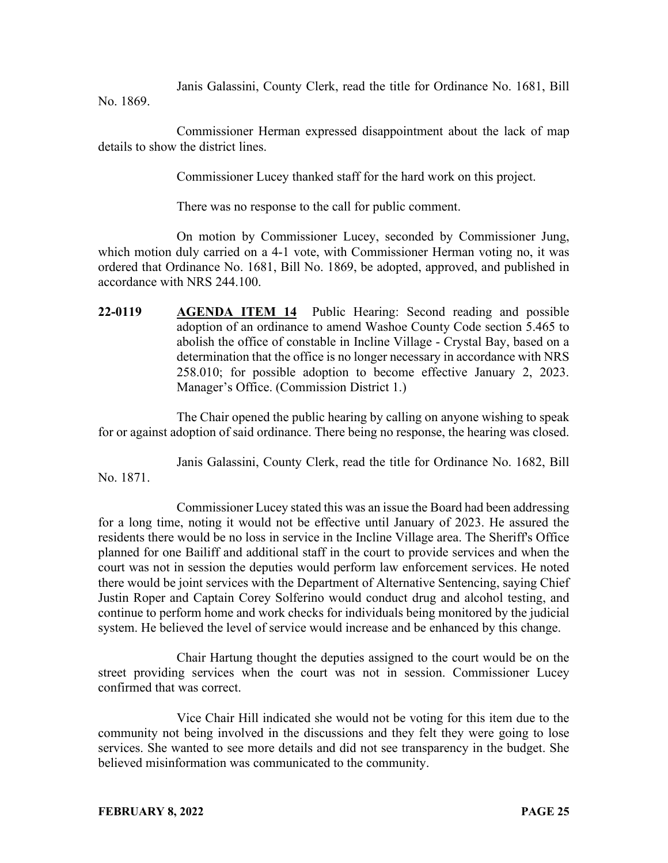Janis Galassini, County Clerk, read the title for Ordinance No. 1681, Bill

No. 1869.

Commissioner Herman expressed disappointment about the lack of map details to show the district lines.

Commissioner Lucey thanked staff for the hard work on this project.

There was no response to the call for public comment.

On motion by Commissioner Lucey, seconded by Commissioner Jung, which motion duly carried on a 4-1 vote, with Commissioner Herman voting no, it was ordered that Ordinance No. 1681, Bill No. 1869, be adopted, approved, and published in accordance with NRS 244.100.

**22-0119 AGENDA ITEM 14** Public Hearing: Second reading and possible adoption of an ordinance to amend Washoe County Code section 5.465 to abolish the office of constable in Incline Village - Crystal Bay, based on a determination that the office is no longer necessary in accordance with NRS 258.010; for possible adoption to become effective January 2, 2023. Manager's Office. (Commission District 1.)

The Chair opened the public hearing by calling on anyone wishing to speak for or against adoption of said ordinance. There being no response, the hearing was closed.

Janis Galassini, County Clerk, read the title for Ordinance No. 1682, Bill No. 1871.

Commissioner Lucey stated this was an issue the Board had been addressing for a long time, noting it would not be effective until January of 2023. He assured the residents there would be no loss in service in the Incline Village area. The Sheriff's Office planned for one Bailiff and additional staff in the court to provide services and when the court was not in session the deputies would perform law enforcement services. He noted there would be joint services with the Department of Alternative Sentencing, saying Chief Justin Roper and Captain Corey Solferino would conduct drug and alcohol testing, and continue to perform home and work checks for individuals being monitored by the judicial system. He believed the level of service would increase and be enhanced by this change.

Chair Hartung thought the deputies assigned to the court would be on the street providing services when the court was not in session. Commissioner Lucey confirmed that was correct.

Vice Chair Hill indicated she would not be voting for this item due to the community not being involved in the discussions and they felt they were going to lose services. She wanted to see more details and did not see transparency in the budget. She believed misinformation was communicated to the community.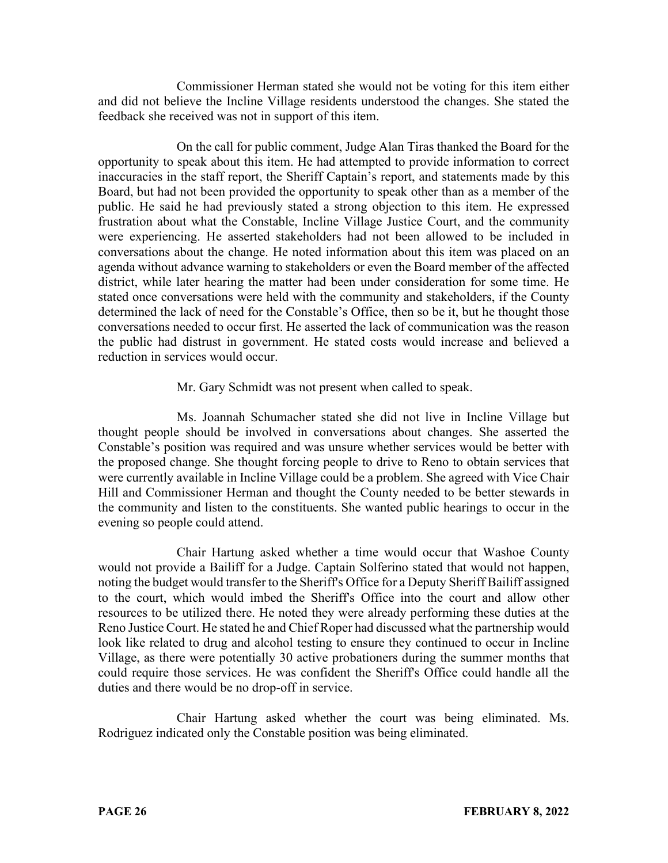Commissioner Herman stated she would not be voting for this item either and did not believe the Incline Village residents understood the changes. She stated the feedback she received was not in support of this item.

On the call for public comment, Judge Alan Tiras thanked the Board for the opportunity to speak about this item. He had attempted to provide information to correct inaccuracies in the staff report, the Sheriff Captain's report, and statements made by this Board, but had not been provided the opportunity to speak other than as a member of the public. He said he had previously stated a strong objection to this item. He expressed frustration about what the Constable, Incline Village Justice Court, and the community were experiencing. He asserted stakeholders had not been allowed to be included in conversations about the change. He noted information about this item was placed on an agenda without advance warning to stakeholders or even the Board member of the affected district, while later hearing the matter had been under consideration for some time. He stated once conversations were held with the community and stakeholders, if the County determined the lack of need for the Constable's Office, then so be it, but he thought those conversations needed to occur first. He asserted the lack of communication was the reason the public had distrust in government. He stated costs would increase and believed a reduction in services would occur.

### Mr. Gary Schmidt was not present when called to speak.

Ms. Joannah Schumacher stated she did not live in Incline Village but thought people should be involved in conversations about changes. She asserted the Constable's position was required and was unsure whether services would be better with the proposed change. She thought forcing people to drive to Reno to obtain services that were currently available in Incline Village could be a problem. She agreed with Vice Chair Hill and Commissioner Herman and thought the County needed to be better stewards in the community and listen to the constituents. She wanted public hearings to occur in the evening so people could attend.

Chair Hartung asked whether a time would occur that Washoe County would not provide a Bailiff for a Judge. Captain Solferino stated that would not happen, noting the budget would transfer to the Sheriff's Office for a Deputy Sheriff Bailiff assigned to the court, which would imbed the Sheriff's Office into the court and allow other resources to be utilized there. He noted they were already performing these duties at the Reno Justice Court. He stated he and Chief Roper had discussed what the partnership would look like related to drug and alcohol testing to ensure they continued to occur in Incline Village, as there were potentially 30 active probationers during the summer months that could require those services. He was confident the Sheriff's Office could handle all the duties and there would be no drop-off in service.

Chair Hartung asked whether the court was being eliminated. Ms. Rodriguez indicated only the Constable position was being eliminated.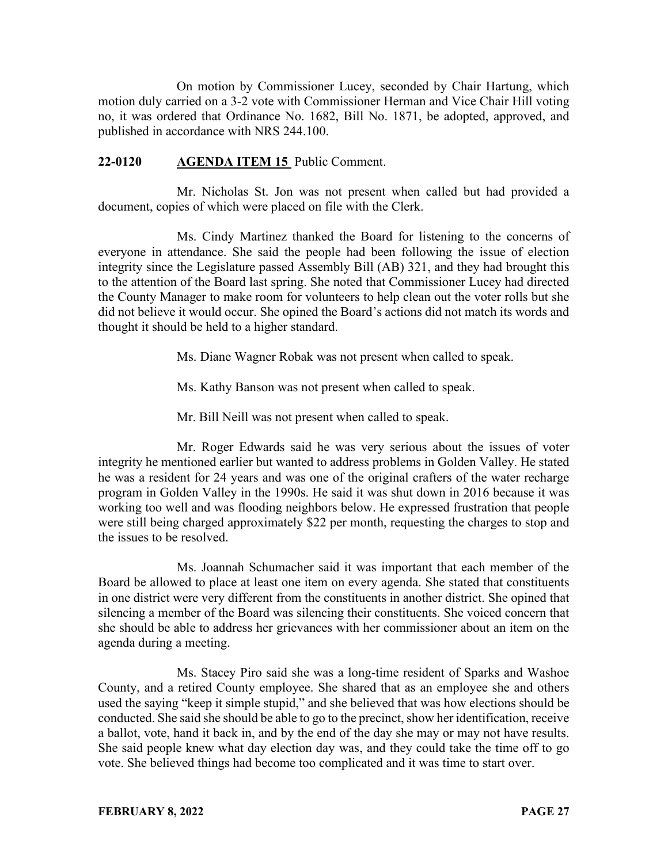On motion by Commissioner Lucey, seconded by Chair Hartung, which motion duly carried on a 3-2 vote with Commissioner Herman and Vice Chair Hill voting no, it was ordered that Ordinance No. 1682, Bill No. 1871, be adopted, approved, and published in accordance with NRS 244.100.

### **22-0120 AGENDA ITEM 15** Public Comment.

Mr. Nicholas St. Jon was not present when called but had provided a document, copies of which were placed on file with the Clerk.

Ms. Cindy Martinez thanked the Board for listening to the concerns of everyone in attendance. She said the people had been following the issue of election integrity since the Legislature passed Assembly Bill (AB) 321, and they had brought this to the attention of the Board last spring. She noted that Commissioner Lucey had directed the County Manager to make room for volunteers to help clean out the voter rolls but she did not believe it would occur. She opined the Board's actions did not match its words and thought it should be held to a higher standard.

Ms. Diane Wagner Robak was not present when called to speak.

Ms. Kathy Banson was not present when called to speak.

Mr. Bill Neill was not present when called to speak.

Mr. Roger Edwards said he was very serious about the issues of voter integrity he mentioned earlier but wanted to address problems in Golden Valley. He stated he was a resident for 24 years and was one of the original crafters of the water recharge program in Golden Valley in the 1990s. He said it was shut down in 2016 because it was working too well and was flooding neighbors below. He expressed frustration that people were still being charged approximately \$22 per month, requesting the charges to stop and the issues to be resolved.

Ms. Joannah Schumacher said it was important that each member of the Board be allowed to place at least one item on every agenda. She stated that constituents in one district were very different from the constituents in another district. She opined that silencing a member of the Board was silencing their constituents. She voiced concern that she should be able to address her grievances with her commissioner about an item on the agenda during a meeting.

Ms. Stacey Piro said she was a long-time resident of Sparks and Washoe County, and a retired County employee. She shared that as an employee she and others used the saying "keep it simple stupid," and she believed that was how elections should be conducted. She said she should be able to go to the precinct, show her identification, receive a ballot, vote, hand it back in, and by the end of the day she may or may not have results. She said people knew what day election day was, and they could take the time off to go vote. She believed things had become too complicated and it was time to start over.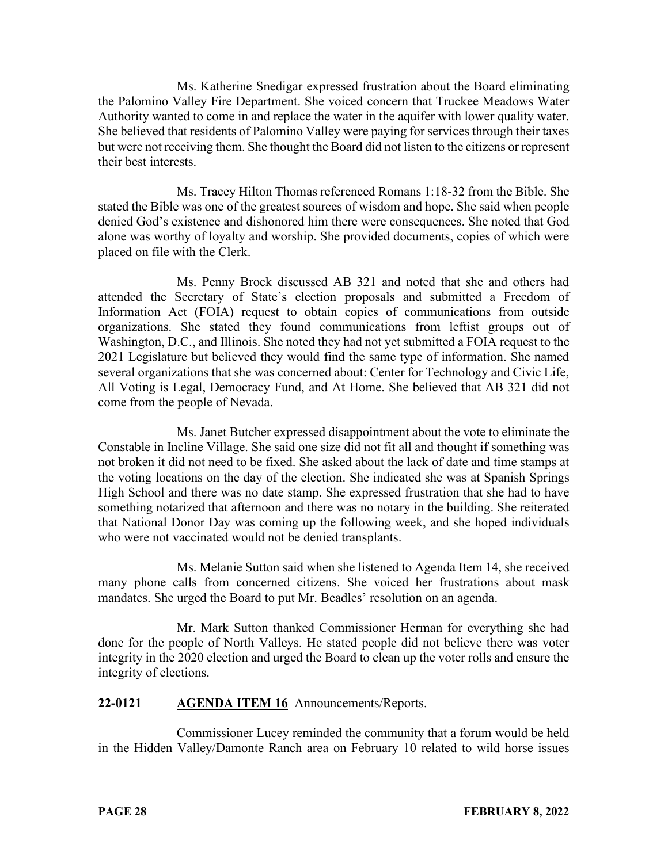Ms. Katherine Snedigar expressed frustration about the Board eliminating the Palomino Valley Fire Department. She voiced concern that Truckee Meadows Water Authority wanted to come in and replace the water in the aquifer with lower quality water. She believed that residents of Palomino Valley were paying for services through their taxes but were not receiving them. She thought the Board did not listen to the citizens or represent their best interests.

Ms. Tracey Hilton Thomas referenced Romans 1:18-32 from the Bible. She stated the Bible was one of the greatest sources of wisdom and hope. She said when people denied God's existence and dishonored him there were consequences. She noted that God alone was worthy of loyalty and worship. She provided documents, copies of which were placed on file with the Clerk.

Ms. Penny Brock discussed AB 321 and noted that she and others had attended the Secretary of State's election proposals and submitted a Freedom of Information Act (FOIA) request to obtain copies of communications from outside organizations. She stated they found communications from leftist groups out of Washington, D.C., and Illinois. She noted they had not yet submitted a FOIA request to the 2021 Legislature but believed they would find the same type of information. She named several organizations that she was concerned about: Center for Technology and Civic Life, All Voting is Legal, Democracy Fund, and At Home. She believed that AB 321 did not come from the people of Nevada.

Ms. Janet Butcher expressed disappointment about the vote to eliminate the Constable in Incline Village. She said one size did not fit all and thought if something was not broken it did not need to be fixed. She asked about the lack of date and time stamps at the voting locations on the day of the election. She indicated she was at Spanish Springs High School and there was no date stamp. She expressed frustration that she had to have something notarized that afternoon and there was no notary in the building. She reiterated that National Donor Day was coming up the following week, and she hoped individuals who were not vaccinated would not be denied transplants.

Ms. Melanie Sutton said when she listened to Agenda Item 14, she received many phone calls from concerned citizens. She voiced her frustrations about mask mandates. She urged the Board to put Mr. Beadles' resolution on an agenda.

Mr. Mark Sutton thanked Commissioner Herman for everything she had done for the people of North Valleys. He stated people did not believe there was voter integrity in the 2020 election and urged the Board to clean up the voter rolls and ensure the integrity of elections.

### **22-0121 AGENDA ITEM 16** Announcements/Reports.

Commissioner Lucey reminded the community that a forum would be held in the Hidden Valley/Damonte Ranch area on February 10 related to wild horse issues